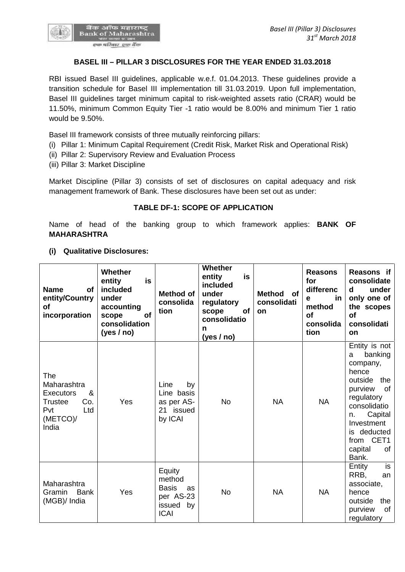

## **BASEL III – PILLAR 3 DISCLOSURES FOR THE YEAR ENDED 31.03.2018**

RBI issued Basel III guidelines, applicable w.e.f. 01.04.2013. These guidelines provide a transition schedule for Basel III implementation till 31.03.2019. Upon full implementation, Basel III guidelines target minimum capital to risk-weighted assets ratio (CRAR) would be 11.50%, minimum Common Equity Tier -1 ratio would be 8.00% and minimum Tier 1 ratio would be 9.50%.

Basel III framework consists of three mutually reinforcing pillars:

- (i) Pillar 1: Minimum Capital Requirement (Credit Risk, Market Risk and Operational Risk)
- (ii) Pillar 2: Supervisory Review and Evaluation Process
- (iii) Pillar 3: Market Discipline

Market Discipline (Pillar 3) consists of set of disclosures on capital adequacy and risk management framework of Bank. These disclosures have been set out as under:

## **TABLE DF-1: SCOPE OF APPLICATION**

Name of head of the banking group to which framework applies: **BANK OF MAHARASHTRA**

**(i) Qualitative Disclosures:**

| <b>Name</b><br><b>of</b><br>entity/Country<br><b>of</b><br>incorporation                                | Whether<br>is<br>entity<br>included<br>under<br>accounting<br>of<br>scope<br>consolidation<br>(yes / no) | Method of<br>consolida<br>tion                                                     | <b>Whether</b><br>entity<br>is<br>included<br>under<br>regulatory<br>of<br>scope<br>consolidatio<br>n<br>(yes / no) | <b>Method</b><br>of<br>consolidati<br>on | <b>Reasons</b><br>for<br>differenc<br>in<br>e<br>method<br>Οf<br>consolida<br>tion | Reasons if<br>consolidate<br>under<br>d<br>only one of<br>the scopes<br><b>of</b><br>consolidati<br><b>on</b>                                                                                                |
|---------------------------------------------------------------------------------------------------------|----------------------------------------------------------------------------------------------------------|------------------------------------------------------------------------------------|---------------------------------------------------------------------------------------------------------------------|------------------------------------------|------------------------------------------------------------------------------------|--------------------------------------------------------------------------------------------------------------------------------------------------------------------------------------------------------------|
| The<br>Maharashtra<br>&<br><b>Executors</b><br>Co.<br><b>Trustee</b><br>Pvt<br>Ltd<br>(METCO)/<br>India | Yes                                                                                                      | Line<br>by<br>Line basis<br>as per AS-<br>21 issued<br>by ICAI                     | <b>No</b>                                                                                                           | <b>NA</b>                                | <b>NA</b>                                                                          | Entity is not<br>banking<br>a<br>company,<br>hence<br>outside<br>the<br>purview<br>of<br>regulatory<br>consolidatio<br>Capital<br>n.<br>Investment<br>deducted<br>is.<br>from CET1<br>capital<br>οf<br>Bank. |
| Maharashtra<br><b>Bank</b><br>Gramin<br>(MGB)/ India                                                    | Yes                                                                                                      | Equity<br>method<br><b>Basis</b><br>as<br>per AS-23<br>by<br>issued<br><b>ICAI</b> | <b>No</b>                                                                                                           | <b>NA</b>                                | <b>NA</b>                                                                          | is<br>Entity<br>RRB,<br>an<br>associate,<br>hence<br>outside<br>the<br>purview<br>of<br>regulatory                                                                                                           |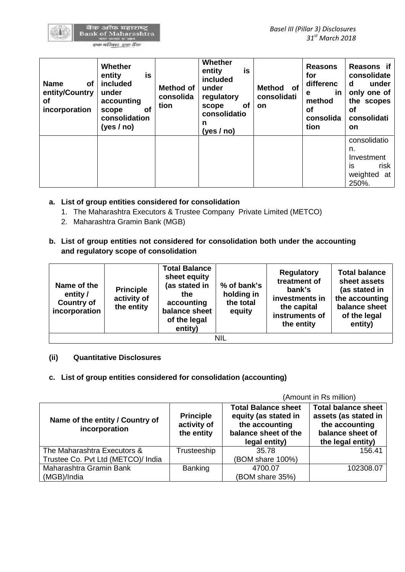| <b>Name</b><br>οf<br>entity/Country<br>οf<br>incorporation | Whether<br>entity<br>is<br>included<br>under<br>accounting<br><b>of</b><br>scope<br>consolidation<br>(yes / no) | <b>Method of</b><br>consolida<br>tion | Whether<br>is<br>entity<br>included<br>under<br>regulatory<br><b>of</b><br>scope<br>consolidatio<br>n<br>(yes/no) | Method of<br>consolidati<br><b>on</b> | <b>Reasons</b><br>for<br>differenc<br><u>in</u><br>е<br>method<br>οf<br>consolida<br>tion | Reasons if<br>consolidate<br>under<br>d<br>only one of<br>the scopes<br>οf<br>consolidati<br><b>on</b> |
|------------------------------------------------------------|-----------------------------------------------------------------------------------------------------------------|---------------------------------------|-------------------------------------------------------------------------------------------------------------------|---------------------------------------|-------------------------------------------------------------------------------------------|--------------------------------------------------------------------------------------------------------|
|                                                            |                                                                                                                 |                                       |                                                                                                                   |                                       |                                                                                           | consolidatio<br>n.<br>Investment<br>is<br>risk<br>weighted<br>at<br>250%.                              |

- **a. List of group entities considered for consolidation**
	- 1. The Maharashtra Executors & Trustee Company Private Limited (METCO)
	- 2. Maharashtra Gramin Bank (MGB)
- **b. List of group entities not considered for consolidation both under the accounting and regulatory scope of consolidation**

| Name of the<br>entity /<br><b>Country of</b><br>incorporation | <b>Principle</b><br>activity of<br>the entity | <b>Total Balance</b><br>sheet equity<br>(as stated in<br>the<br>accounting<br>balance sheet<br>of the legal<br>entity) | % of bank's<br>holding in<br>the total<br>equity | <b>Regulatory</b><br>treatment of<br>bank's<br>investments in<br>the capital<br>instruments of<br>the entity | <b>Total balance</b><br>sheet assets<br>(as stated in<br>the accounting<br>balance sheet<br>of the legal<br>entity) |  |
|---------------------------------------------------------------|-----------------------------------------------|------------------------------------------------------------------------------------------------------------------------|--------------------------------------------------|--------------------------------------------------------------------------------------------------------------|---------------------------------------------------------------------------------------------------------------------|--|
| NIL                                                           |                                               |                                                                                                                        |                                                  |                                                                                                              |                                                                                                                     |  |

**(ii) Quantitative Disclosures**

# **c. List of group entities considered for consolidation (accounting)**

(Amount in Rs million)

| Name of the entity / Country of<br>incorporation | <b>Principle</b><br>activity of<br>the entity | <b>Total Balance sheet</b><br>equity (as stated in<br>the accounting<br>balance sheet of the<br>legal entity) | <b>Total balance sheet</b><br>assets (as stated in<br>the accounting<br>balance sheet of<br>the legal entity) |
|--------------------------------------------------|-----------------------------------------------|---------------------------------------------------------------------------------------------------------------|---------------------------------------------------------------------------------------------------------------|
| The Maharashtra Executors &                      | Trusteeship                                   | 35.78                                                                                                         | 156.41                                                                                                        |
| Trustee Co. Pvt Ltd (METCO)/ India               |                                               | (BOM share 100%)                                                                                              |                                                                                                               |
| Maharashtra Gramin Bank                          | Banking                                       | 4700.07                                                                                                       | 102308.07                                                                                                     |
| (MGB)/India                                      |                                               | (BOM share 35%)                                                                                               |                                                                                                               |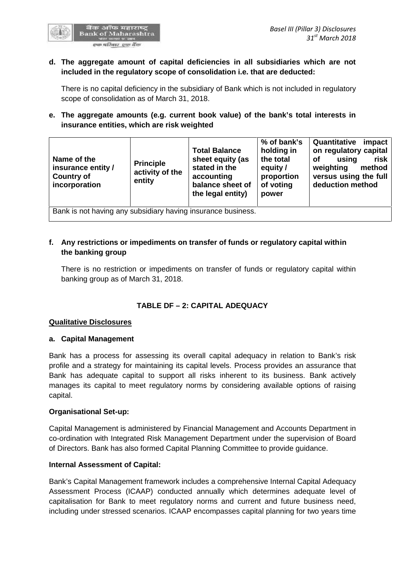

## **d. The aggregate amount of capital deficiencies in all subsidiaries which are not included in the regulatory scope of consolidation i.e. that are deducted:**

There is no capital deficiency in the subsidiary of Bank which is not included in regulatory scope of consolidation as of March 31, 2018.

# **e. The aggregate amounts (e.g. current book value) of the bank's total interests in insurance entities, which are risk weighted**

| Name of the<br><b>Principle</b><br>insurance entity /<br><b>Country of</b><br>entity<br>incorporation | <b>Total Balance</b><br>stated in the<br>activity of the<br>accounting | sheet equity (as<br>balance sheet of<br>the legal entity) | % of bank's<br>holding in<br>the total<br>equity /<br>proportion<br>of voting<br>power | Quantitative<br>on regulatory capital<br>using<br><b>of</b><br>weighting<br>versus using the full<br>deduction method | impact<br>risk<br>method |
|-------------------------------------------------------------------------------------------------------|------------------------------------------------------------------------|-----------------------------------------------------------|----------------------------------------------------------------------------------------|-----------------------------------------------------------------------------------------------------------------------|--------------------------|
| Bank is not having any subsidiary having insurance business.                                          |                                                                        |                                                           |                                                                                        |                                                                                                                       |                          |

# **f. Any restrictions or impediments on transfer of funds or regulatory capital within the banking group**

There is no restriction or impediments on transfer of funds or regulatory capital within banking group as of March 31, 2018.

# **TABLE DF – 2:CAPITAL ADEQUACY**

## **Qualitative Disclosures**

## **a. Capital Management**

Bank has a process for assessing its overall capital adequacy in relation to Bank's risk profile and a strategy for maintaining its capital levels. Process provides an assurance that Bank has adequate capital to support all risks inherent to its business. Bank actively manages its capital to meet regulatory norms by considering available options of raising capital.

## **Organisational Set-up:**

Capital Management is administered by Financial Management and Accounts Department in co-ordination with Integrated Risk Management Department under the supervision of Board of Directors. Bank has also formed Capital Planning Committee to provide guidance.

## **Internal Assessment of Capital:**

Bank's Capital Management framework includes a comprehensive Internal Capital Adequacy Assessment Process (ICAAP) conducted annually which determines adequate level of capitalisation for Bank to meet regulatory norms and current and future business need, including under stressed scenarios. ICAAP encompasses capital planning for two years time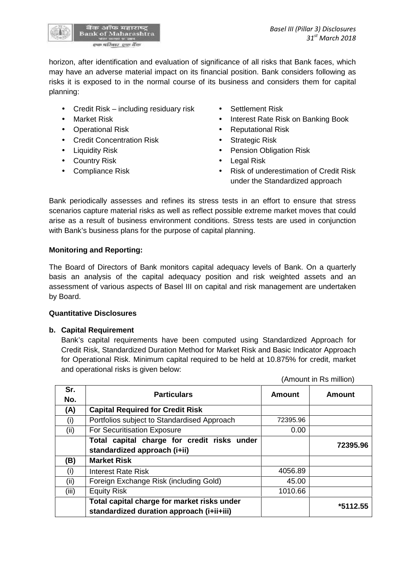

horizon, after identification and evaluation of significance of all risks that Bank faces, which may have an adverse material impact on its financial position. Bank considers following as risks it is exposed to in the normal course of its business and considers them for capital planning:

- Credit Risk including residuary risk Settlement Risk
- 
- 
- Credit Concentration Risk Strategic Risk
- 
- Country Risk **Country Risk Country Risk Country Risk**
- 
- 
- Market Risk **Interest Rate Risk on Banking Book**
- Operational Risk **Constanting Constanting Constanting Constanting Constanting Constanting Constanting Constanting Constanting Constanting Constanting Constanting Constanting Constanting Constanting Constanting Constantin** 
	-
- Liquidity Risk **Constant Constant Constant Pension Obligation Risk** 
	-
- Compliance Risk **Compliance Risk Compliance Risk Compliance Risk of underestimation of Credit Risk** under the Standardized approach

(Amount in Rs million)

Bank periodically assesses and refines its stress tests in an effort to ensure that stress scenarios capture material risks as well as reflect possible extreme market moves that could arise as a result of business environment conditions. Stress tests are used in conjunction with Bank's business plans for the purpose of capital planning.

## **Monitoring and Reporting:**

The Board of Directors of Bank monitors capital adequacy levels of Bank. On a quarterly basis an analysis of the capital adequacy position and risk weighted assets and an assessment of various aspects of Basel III on capital and risk management are undertaken by Board.

## **Quantitative Disclosures**

## **b. Capital Requirement**

Bank's capital requirements have been computed using Standardized Approach for Credit Risk, Standardized Duration Method for Market Risk and Basic Indicator Approach for Operational Risk. Minimum capital required to be held at 10.875% for credit, market and operational risks is given below:

| <b>Particulars</b>                                                                       | <b>Amount</b>                | <b>Amount</b> |  |
|------------------------------------------------------------------------------------------|------------------------------|---------------|--|
| <b>Capital Required for Credit Risk</b>                                                  |                              |               |  |
| Portfolios subject to Standardised Approach                                              | 72395.96                     |               |  |
| For Securitisation Exposure                                                              | 0.00                         |               |  |
| Total capital charge for credit risks under                                              |                              | 72395.96      |  |
| <b>Market Risk</b>                                                                       |                              |               |  |
| <b>Interest Rate Risk</b>                                                                | 4056.89                      |               |  |
| Foreign Exchange Risk (including Gold)                                                   | 45.00                        |               |  |
| <b>Equity Risk</b>                                                                       | 1010.66                      |               |  |
| Total capital charge for market risks under<br>standardized duration approach (i+ii+iii) |                              | $*5112.55$    |  |
|                                                                                          | standardized approach (i+ii) |               |  |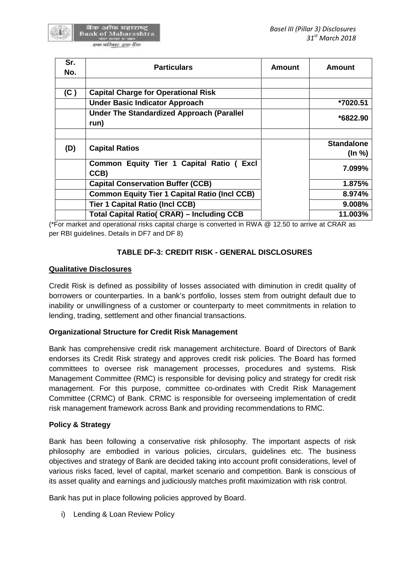

| Sr.<br>No. | <b>Particulars</b>                                       | <b>Amount</b> | <b>Amount</b>     |
|------------|----------------------------------------------------------|---------------|-------------------|
| (C)        | <b>Capital Charge for Operational Risk</b>               |               |                   |
|            | <b>Under Basic Indicator Approach</b>                    |               | *7020.51          |
|            | <b>Under The Standardized Approach (Parallel</b><br>run) |               | *6822.90          |
|            |                                                          |               | <b>Standalone</b> |
| (D)        | <b>Capital Ratios</b>                                    |               | (ln %)            |
|            | Common Equity Tier 1 Capital Ratio (<br>Excl<br>CCB)     |               | 7.099%            |
|            | <b>Capital Conservation Buffer (CCB)</b>                 |               | 1.875%            |
|            | <b>Common Equity Tier 1 Capital Ratio (Incl CCB)</b>     |               | 8.974%            |
|            | <b>Tier 1 Capital Ratio (Incl CCB)</b>                   |               | 9.008%            |
|            | <b>Total Capital Ratio( CRAR) – Including CCB</b>        |               | 11.003%           |

(\*For market and operational risks capital charge is converted in RWA @ 12.50 to arrive at CRAR as per RBI guidelines. Details in DF7 and DF 8)

# **TABLE DF-3: CREDIT RISK - GENERAL DISCLOSURES**

## **Qualitative Disclosures**

Credit Risk is defined as possibility of losses associated with diminution in credit quality of borrowers or counterparties. In a bank's portfolio, losses stem from outright default due to inability or unwillingness of a customer or counterparty to meet commitments in relation to lending, trading, settlement and other financial transactions.

## **Organizational Structure for Credit Risk Management**

Bank has comprehensive credit risk management architecture. Board of Directors of Bank endorses its Credit Risk strategy and approves credit risk policies. The Board has formed committees to oversee risk management processes, procedures and systems. Risk Management Committee (RMC) is responsible for devising policy and strategy for credit risk management. For this purpose, committee co-ordinates with Credit Risk Management Committee (CRMC) of Bank. CRMC is responsible for overseeing implementation of credit risk management framework across Bank and providing recommendations to RMC.

## **Policy & Strategy**

Bank has been following a conservative risk philosophy. The important aspects of risk philosophy are embodied in various policies, circulars, guidelines etc. The business objectives and strategy of Bank are decided taking into account profit considerations, level of various risks faced, level of capital, market scenario and competition. Bank is conscious of its asset quality and earnings and judiciously matches profit maximization with risk control.

Bank has put in place following policies approved by Board.

i) Lending & Loan Review Policy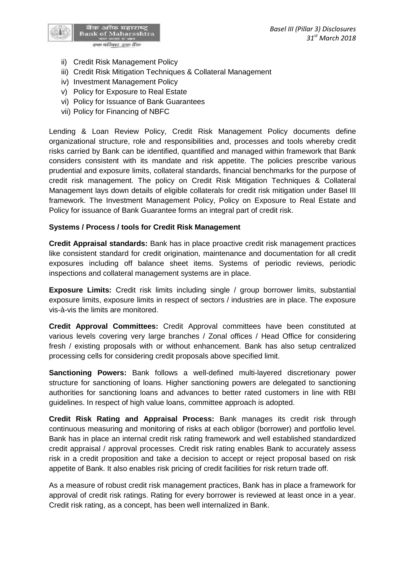

- ii) Credit Risk Management Policy
- iii) Credit Risk Mitigation Techniques & Collateral Management
- iv) Investment Management Policy
- v) Policy for Exposure to Real Estate
- vi) Policy for Issuance of Bank Guarantees
- vii) Policy for Financing of NBFC

Lending & Loan Review Policy, Credit Risk Management Policy documents define organizational structure, role and responsibilities and, processes and tools whereby credit risks carried by Bank can be identified, quantified and managed within framework that Bank considers consistent with its mandate and risk appetite. The policies prescribe various prudential and exposure limits, collateral standards, financial benchmarks for the purpose of credit risk management. The policy on Credit Risk Mitigation Techniques & Collateral Management lays down details of eligible collaterals for credit risk mitigation under Basel III framework. The Investment Management Policy, Policy on Exposure to Real Estate and Policy for issuance of Bank Guarantee forms an integral part of credit risk.

## **Systems / Process / tools for Credit Risk Management**

**Credit Appraisal standards:** Bank has in place proactive credit risk management practices like consistent standard for credit origination, maintenance and documentation for all credit exposures including off balance sheet items. Systems of periodic reviews, periodic inspections and collateral management systems are in place.

**Exposure Limits:** Credit risk limits including single / group borrower limits, substantial exposure limits, exposure limits in respect of sectors / industries are in place. The exposure vis-à-vis the limits are monitored.

**Credit Approval Committees:** Credit Approval committees have been constituted at various levels covering very large branches / Zonal offices / Head Office for considering fresh / existing proposals with or without enhancement. Bank has also setup centralized processing cells for considering credit proposals above specified limit.

**Sanctioning Powers:** Bank follows a well-defined multi-layered discretionary power structure for sanctioning of loans. Higher sanctioning powers are delegated to sanctioning authorities for sanctioning loans and advances to better rated customers in line with RBI guidelines. In respect of high value loans, committee approach is adopted.

**Credit Risk Rating and Appraisal Process:** Bank manages its credit risk through continuous measuring and monitoring of risks at each obligor (borrower) and portfolio level. Bank has in place an internal credit risk rating framework and well established standardized credit appraisal / approval processes. Credit risk rating enables Bank to accurately assess risk in a credit proposition and take a decision to accept or reject proposal based on risk appetite of Bank. It also enables risk pricing of credit facilities for risk return trade off.

As a measure of robust credit risk management practices, Bank has in place a framework for approval of credit risk ratings. Rating for every borrower is reviewed at least once in a year. Credit risk rating, as a concept, has been well internalized in Bank.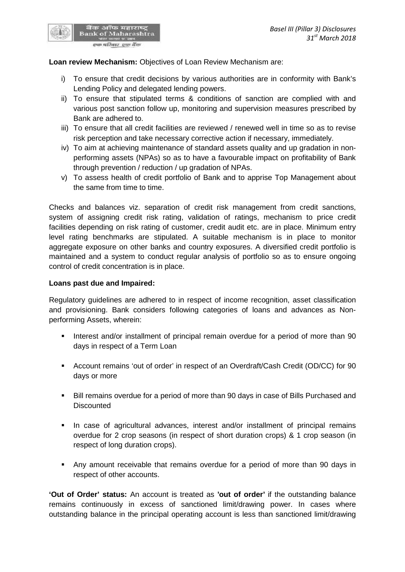## **Loan review Mechanism:** Objectives of Loan Review Mechanism are:

बैंक ऑफ महाराष्ट्र<br>Bank of Maharashtra स्फ परिवार स्था बैंक

- i) To ensure that credit decisions by various authorities are in conformity with Bank's Lending Policy and delegated lending powers.
- ii) To ensure that stipulated terms & conditions of sanction are complied with and various post sanction follow up, monitoring and supervision measures prescribed by Bank are adhered to.
- iii) To ensure that all credit facilities are reviewed / renewed well in time so as to revise risk perception and take necessary corrective action if necessary, immediately.
- iv) To aim at achieving maintenance of standard assets quality and up gradation in non performing assets (NPAs) so as to have a favourable impact on profitability of Bank through prevention / reduction / up gradation of NPAs.
- v) To assess health of credit portfolio of Bank and to apprise Top Management about the same from time to time.

Checks and balances viz. separation of credit risk management from credit sanctions, system of assigning credit risk rating, validation of ratings, mechanism to price credit facilities depending on risk rating of customer, credit audit etc. are in place. Minimum entry level rating benchmarks are stipulated. A suitable mechanism is in place to monitor aggregate exposure on other banks and country exposures. A diversified credit portfolio is maintained and a system to conduct regular analysis of portfolio so as to ensure ongoing control of credit concentration is in place.

#### **Loans past due and Impaired:**

Regulatory guidelines are adhered to in respect of income recognition, asset classification and provisioning. Bank considers following categories of loans and advances as Non performing Assets, wherein:

- Interest and/or installment of principal remain overdue for a period of more than 90 days in respect of a Term Loan
- Account remains 'out of order' in respect of an Overdraft/Cash Credit (OD/CC) for 90 days or more
- Bill remains overdue for a period of more than 90 days in case of Bills Purchased and **Discounted**
- In case of agricultural advances, interest and/or installment of principal remains overdue for 2 crop seasons (in respect of short duration crops) & 1 crop season (in respect of long duration crops).
- Any amount receivable that remains overdue for a period of more than 90 days in respect of other accounts.

**'Out of Order' status:** An account is treated as **'out of order'** if the outstanding balance remains continuously in excess of sanctioned limit/drawing power. In cases where outstanding balance in the principal operating account is less than sanctioned limit/drawing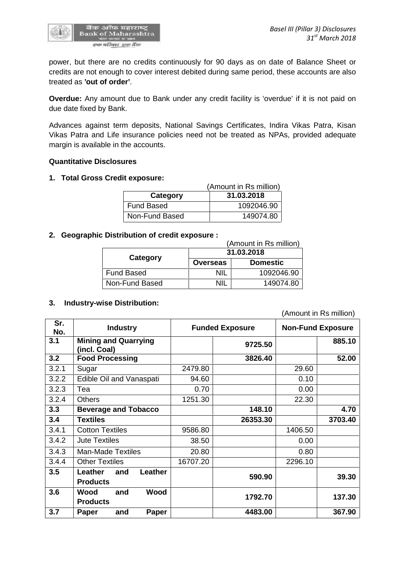

power, but there are no credits continuously for 90 days as on date of Balance Sheet or credits are not enough to cover interest debited during same period, these accounts are also treated as **'out of order'**.

**Overdue:** Any amount due to Bank under any credit facility is 'overdue' if it is not paid on due date fixed by Bank.

Advances against term deposits, National Savings Certificates, Indira Vikas Patra, Kisan Vikas Patra and Life insurance policies need not be treated as NPAs, provided adequate margin is available in the accounts.

#### **Quantitative Disclosures**

#### **1. Total Gross Credit exposure:**

|                   | (Amount in Rs million) |
|-------------------|------------------------|
| Category          | 31.03.2018             |
| <b>Fund Based</b> | 1092046.90             |
| Non-Fund Based    | 149074.80              |

#### **2. Geographic Distribution of credit exposure :**

| (Amount in Rs million) |                 |                 |  |  |
|------------------------|-----------------|-----------------|--|--|
|                        | 31.03.2018      |                 |  |  |
| Category               | <b>Overseas</b> | <b>Domestic</b> |  |  |
| Fund Based             | NIL             | 1092046.90      |  |  |
| Non-Fund Based         | NIL             | 149074.80       |  |  |
|                        |                 |                 |  |  |

#### **3. Industry-wise Distribution:**

(Amount in Rs million)

| Sr.<br>No. | <b>Industry</b>                                      |          | <b>Funded Exposure</b> | <b>Non-Fund Exposure</b> |         |
|------------|------------------------------------------------------|----------|------------------------|--------------------------|---------|
| 3.1        | <b>Mining and Quarrying</b><br>(incl. Coal)          |          | 9725.50                |                          | 885.10  |
| 3.2        | <b>Food Processing</b>                               |          | 3826.40                |                          | 52.00   |
| 3.2.1      | Sugar                                                | 2479.80  |                        | 29.60                    |         |
| 3.2.2      | Edible Oil and Vanaspati                             | 94.60    |                        | 0.10                     |         |
| 3.2.3      | Tea                                                  | 0.70     |                        | 0.00                     |         |
| 3.2.4      | <b>Others</b>                                        | 1251.30  |                        | 22.30                    |         |
| 3.3        | <b>Beverage and Tobacco</b>                          |          | 148.10                 |                          | 4.70    |
| 3.4        | <b>Textiles</b>                                      |          | 26353.30               |                          | 3703.40 |
| 3.4.1      | <b>Cotton Textiles</b>                               | 9586.80  |                        | 1406.50                  |         |
| 3.4.2      | <b>Jute Textiles</b>                                 | 38.50    |                        | 0.00                     |         |
| 3.4.3      | <b>Man-Made Textiles</b>                             | 20.80    |                        | 0.80                     |         |
| 3.4.4      | <b>Other Textiles</b>                                | 16707.20 |                        | 2296.10                  |         |
| 3.5        | Leather<br>Leather<br>and<br><b>Products</b>         |          | 590.90                 |                          | 39.30   |
| 3.6        | <b>Wood</b><br><b>Wood</b><br>and<br><b>Products</b> |          | 1792.70                |                          | 137.30  |
| 3.7        | and<br>Paper<br>Paper                                |          | 4483.00                |                          | 367.90  |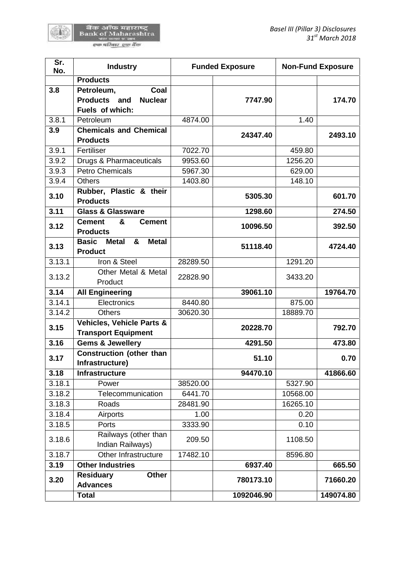陈書

| No.<br><b>Products</b><br>Coal<br>3.8<br>Petroleum,<br>Products and<br><b>Nuclear</b><br>7747.90<br>Fuels of which:<br>3.8.1<br>4874.00<br>1.40<br>Petroleum<br>3.9<br><b>Chemicals and Chemical</b><br>24347.40<br><b>Products</b><br>3.9.1<br>7022.70<br>Fertiliser<br>459.80<br>3.9.2<br>Drugs & Pharmaceuticals<br>1256.20<br>9953.60<br>3.9.3<br><b>Petro Chemicals</b><br>5967.30<br>629.00<br>3.9.4<br><b>Others</b><br>1403.80<br>148.10 | 174.70<br>2493.10 |
|--------------------------------------------------------------------------------------------------------------------------------------------------------------------------------------------------------------------------------------------------------------------------------------------------------------------------------------------------------------------------------------------------------------------------------------------------|-------------------|
|                                                                                                                                                                                                                                                                                                                                                                                                                                                  |                   |
|                                                                                                                                                                                                                                                                                                                                                                                                                                                  |                   |
|                                                                                                                                                                                                                                                                                                                                                                                                                                                  |                   |
|                                                                                                                                                                                                                                                                                                                                                                                                                                                  |                   |
|                                                                                                                                                                                                                                                                                                                                                                                                                                                  |                   |
|                                                                                                                                                                                                                                                                                                                                                                                                                                                  |                   |
|                                                                                                                                                                                                                                                                                                                                                                                                                                                  |                   |
|                                                                                                                                                                                                                                                                                                                                                                                                                                                  |                   |
|                                                                                                                                                                                                                                                                                                                                                                                                                                                  |                   |
|                                                                                                                                                                                                                                                                                                                                                                                                                                                  |                   |
| Rubber, Plastic & their<br>3.10<br>5305.30<br><b>Products</b>                                                                                                                                                                                                                                                                                                                                                                                    | 601.70            |
| 3.11<br><b>Glass &amp; Glassware</b><br>1298.60                                                                                                                                                                                                                                                                                                                                                                                                  | 274.50            |
| &<br><b>Cement</b><br><b>Cement</b>                                                                                                                                                                                                                                                                                                                                                                                                              |                   |
| 3.12<br>10096.50<br><b>Products</b>                                                                                                                                                                                                                                                                                                                                                                                                              | 392.50            |
| <b>Metal</b><br><b>Basic</b><br><b>Metal</b><br>&                                                                                                                                                                                                                                                                                                                                                                                                |                   |
| 3.13<br>51118.40<br><b>Product</b>                                                                                                                                                                                                                                                                                                                                                                                                               | 4724.40           |
| 3.13.1<br>Iron & Steel<br>1291.20<br>28289.50                                                                                                                                                                                                                                                                                                                                                                                                    |                   |
| Other Metal & Metal                                                                                                                                                                                                                                                                                                                                                                                                                              |                   |
| 3.13.2<br>22828.90<br>3433.20<br>Product                                                                                                                                                                                                                                                                                                                                                                                                         |                   |
| 3.14<br><b>All Engineering</b><br>39061.10                                                                                                                                                                                                                                                                                                                                                                                                       | 19764.70          |
| 3.14.1<br>Electronics<br>8440.80<br>875.00                                                                                                                                                                                                                                                                                                                                                                                                       |                   |
| 3.14.2<br><b>Others</b><br>30620.30<br>18889.70                                                                                                                                                                                                                                                                                                                                                                                                  |                   |
| <b>Vehicles, Vehicle Parts &amp;</b><br>3.15                                                                                                                                                                                                                                                                                                                                                                                                     | 792.70            |
| 20228.70<br><b>Transport Equipment</b>                                                                                                                                                                                                                                                                                                                                                                                                           |                   |
| <b>Gems &amp; Jewellery</b><br>3.16<br>4291.50                                                                                                                                                                                                                                                                                                                                                                                                   | 473.80            |
| <b>Construction (other than</b><br>3.17<br>51.10<br>Infrastructure)                                                                                                                                                                                                                                                                                                                                                                              | 0.70              |
| 3.18<br>94470.10<br>Infrastructure                                                                                                                                                                                                                                                                                                                                                                                                               | 41866.60          |
| 3.18.1<br>Power<br>38520.00<br>5327.90                                                                                                                                                                                                                                                                                                                                                                                                           |                   |
| Telecommunication<br>3.18.2<br>6441.70<br>10568.00                                                                                                                                                                                                                                                                                                                                                                                               |                   |
| 3.18.3<br>16265.10<br>Roads<br>28481.90                                                                                                                                                                                                                                                                                                                                                                                                          |                   |
| 3.18.4<br>1.00<br>Airports<br>0.20                                                                                                                                                                                                                                                                                                                                                                                                               |                   |
| 3.18.5<br>Ports<br>3333.90<br>0.10                                                                                                                                                                                                                                                                                                                                                                                                               |                   |
| Railways (other than                                                                                                                                                                                                                                                                                                                                                                                                                             |                   |
| 3.18.6<br>209.50<br>1108.50<br>Indian Railways)                                                                                                                                                                                                                                                                                                                                                                                                  |                   |
|                                                                                                                                                                                                                                                                                                                                                                                                                                                  |                   |
| 3.18.7<br>Other Infrastructure<br>17482.10<br>8596.80                                                                                                                                                                                                                                                                                                                                                                                            | 665.50            |
| 3.19<br><b>Other Industries</b><br>6937.40                                                                                                                                                                                                                                                                                                                                                                                                       |                   |
| <b>Residuary</b><br><b>Other</b><br>3.20<br>780173.10<br><b>Advances</b>                                                                                                                                                                                                                                                                                                                                                                         | 71660.20          |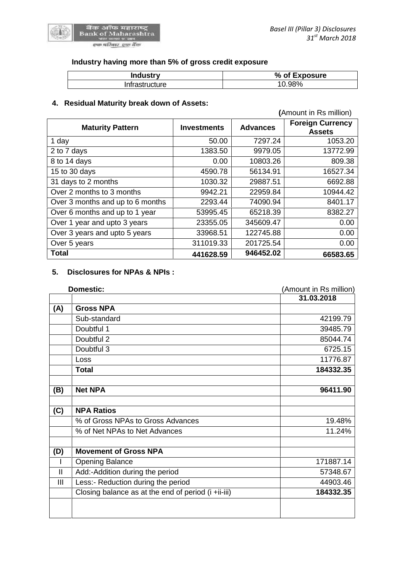

# **Industry having more than 5% of gross credit exposure**

| <b>Industry</b> | % of Exposure |
|-----------------|---------------|
| Infrastructure  | 10.98%        |

# **4. Residual Maturity break down of Assets:**

|                                  |                    |                 | (Amount in Rs million)                   |  |
|----------------------------------|--------------------|-----------------|------------------------------------------|--|
| <b>Maturity Pattern</b>          | <b>Investments</b> | <b>Advances</b> | <b>Foreign Currency</b><br><b>Assets</b> |  |
| 1 day                            | 50.00              | 7297.24         | 1053.20                                  |  |
| 2 to 7 days                      | 1383.50            | 9979.05         | 13772.99                                 |  |
| 8 to 14 days                     | 0.00               | 10803.26        | 809.38                                   |  |
| 15 to 30 days                    | 4590.78            | 56134.91        | 16527.34                                 |  |
| 31 days to 2 months              | 1030.32            | 29887.51        | 6692.88                                  |  |
| Over 2 months to 3 months        | 9942.21            | 22959.84        | 10944.42                                 |  |
| Over 3 months and up to 6 months | 2293.44            | 74090.94        | 8401.17                                  |  |
| Over 6 months and up to 1 year   | 53995.45           | 65218.39        | 8382.27                                  |  |
| Over 1 year and upto 3 years     | 23355.05           | 345609.47       | 0.00                                     |  |
| Over 3 years and upto 5 years    | 33968.51           | 122745.88       | 0.00                                     |  |
| Over 5 years                     | 311019.33          | 201725.54       | 0.00                                     |  |
| <b>Total</b>                     | 441628.59          | 946452.02       | 66583.65                                 |  |

# **5. Disclosures for NPAs & NPIs :**

| <b>Domestic:</b> |                                                     | (Amount in Rs million) |  |
|------------------|-----------------------------------------------------|------------------------|--|
|                  |                                                     | 31.03.2018             |  |
| (A)              | <b>Gross NPA</b>                                    |                        |  |
|                  | Sub-standard                                        | 42199.79               |  |
|                  | Doubtful 1                                          | 39485.79               |  |
|                  | Doubtful 2                                          | 85044.74               |  |
|                  | Doubtful 3                                          | 6725.15                |  |
|                  | Loss                                                | 11776.87               |  |
|                  | <b>Total</b>                                        | 184332.35              |  |
|                  |                                                     |                        |  |
| (B)              | <b>Net NPA</b>                                      | 96411.90               |  |
|                  |                                                     |                        |  |
| (C)              | <b>NPA Ratios</b>                                   |                        |  |
|                  | % of Gross NPAs to Gross Advances                   | 19.48%                 |  |
|                  | % of Net NPAs to Net Advances                       | 11.24%                 |  |
|                  |                                                     |                        |  |
| (D)              | <b>Movement of Gross NPA</b>                        |                        |  |
|                  | <b>Opening Balance</b>                              | 171887.14              |  |
| $\mathbf{I}$     | Add:-Addition during the period                     | 57348.67               |  |
| $\mathbf{III}$   | Less:- Reduction during the period                  | 44903.46               |  |
|                  | Closing balance as at the end of period (i +ii-iii) | 184332.35              |  |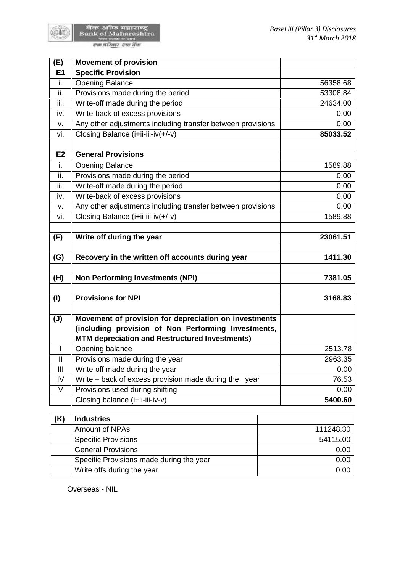

बैंक ऑफ महाराष्ट्र<br>Bank of Maharashtra<br>पात मंडल प्रथम एक परिवार एक बैंक

| (E)                        | <b>Movement of provision</b>                                |          |
|----------------------------|-------------------------------------------------------------|----------|
| E1                         | <b>Specific Provision</b>                                   |          |
| i.                         | <b>Opening Balance</b>                                      | 56358.68 |
| ii.                        | Provisions made during the period                           | 53308.84 |
| iii.                       | Write-off made during the period                            | 24634.00 |
| iv.                        | Write-back of excess provisions                             | 0.00     |
| v.                         | Any other adjustments including transfer between provisions | 0.00     |
| vi.                        | Closing Balance (i+ii-iii-iv(+/-v)                          | 85033.52 |
|                            |                                                             |          |
| E2                         | <b>General Provisions</b>                                   |          |
| i.                         | <b>Opening Balance</b>                                      | 1589.88  |
| ii.                        | Provisions made during the period                           | 0.00     |
| iii.                       | Write-off made during the period                            | 0.00     |
| iv.                        | Write-back of excess provisions                             | 0.00     |
| v.                         | Any other adjustments including transfer between provisions | 0.00     |
| vi.                        | Closing Balance (i+ii-iii-iv(+/-v)                          | 1589.88  |
|                            |                                                             |          |
| (F)                        | Write off during the year                                   | 23061.51 |
|                            |                                                             |          |
| (G)                        | Recovery in the written off accounts during year            | 1411.30  |
|                            |                                                             |          |
| (H)                        | <b>Non Performing Investments (NPI)</b>                     | 7381.05  |
|                            |                                                             |          |
| (1)                        | <b>Provisions for NPI</b>                                   | 3168.83  |
|                            |                                                             |          |
| $(\mathsf{U})$             | Movement of provision for depreciation on investments       |          |
|                            | (including provision of Non Performing Investments,         |          |
|                            | <b>MTM depreciation and Restructured Investments)</b>       |          |
| $\mathbf{I}$               | Opening balance                                             | 2513.78  |
| $\ensuremath{\mathsf{II}}$ | Provisions made during the year                             | 2963.35  |
| III                        | Write-off made during the year                              | 0.00     |
| IV                         | Write - back of excess provision made during the year       | 76.53    |
| $\vee$                     | Provisions used during shifting                             | 0.00     |
|                            | Closing balance (i+ii-iii-iv-v)                             | 5400.60  |

| <b>Industries</b>                        |           |
|------------------------------------------|-----------|
| Amount of NPAs                           | 111248.30 |
| <b>Specific Provisions</b>               | 54115.00  |
| <b>General Provisions</b>                | 0.00      |
| Specific Provisions made during the year | 0.00      |
| Write offs during the year               | 0.00      |

Overseas - NIL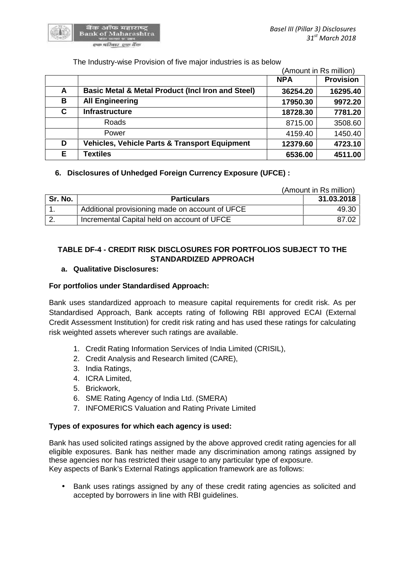

## The Industry-wise Provision of five major industries is as below

|    |                                                              | (Amount in Rs million) |                  |  |
|----|--------------------------------------------------------------|------------------------|------------------|--|
|    |                                                              | <b>NPA</b>             | <b>Provision</b> |  |
| A  | <b>Basic Metal &amp; Metal Product (Incl Iron and Steel)</b> | 36254.20               | 16295.40         |  |
| В  | <b>All Engineering</b>                                       | 17950.30               | 9972.20          |  |
| C  | <b>Infrastructure</b>                                        | 18728.30               | 7781.20          |  |
|    | Roads                                                        | 8715.00                | 3508.60          |  |
|    | Power                                                        | 4159.40                | 1450.40          |  |
| D  | Vehicles, Vehicle Parts & Transport Equipment                | 12379.60               | 4723.10          |  |
| E. | Textiles                                                     | 6536.00                | 4511.00          |  |

## **6. Disclosures of Unhedged Foreign Currency Exposure (UFCE) :**

|         |                                                 | (Amount in Rs million) |
|---------|-------------------------------------------------|------------------------|
| Sr. No. | <b>Particulars</b>                              | 31.03.2018             |
|         | Additional provisioning made on account of UFCE | 49.30                  |
|         | Incremental Capital held on account of UFCE     | 87.02                  |

# **TABLE DF-4 - CREDIT RISK DISCLOSURES FOR PORTFOLIOS SUBJECT TO THE STANDARDIZED APPROACH**

## **a. Qualitative Disclosures:**

## **For portfolios under Standardised Approach:**

Bank uses standardized approach to measure capital requirements for credit risk. As per Standardised Approach, Bank accepts rating of following RBI approved ECAI (External Credit Assessment Institution) for credit risk rating and has used these ratings for calculating risk weighted assets wherever such ratings are available.

- 1. Credit Rating Information Services of India Limited (CRISIL),
- 2. Credit Analysis and Research limited (CARE),
- 3. India Ratings,
- 4. ICRA Limited,
- 5. Brickwork,
- 6. SME Rating Agency of India Ltd. (SMERA)
- 7. INFOMERICS Valuation and Rating Private Limited

## **Types of exposures for which each agency is used:**

Bank has used solicited ratings assigned by the above approved credit rating agencies for all eligible exposures. Bank has neither made any discrimination among ratings assigned by these agencies nor has restricted their usage to any particular type of exposure. Key aspects of Bank's External Ratings application framework are as follows:

• Bank uses ratings assigned by any of these credit rating agencies as solicited and accepted by borrowers in line with RBI guidelines.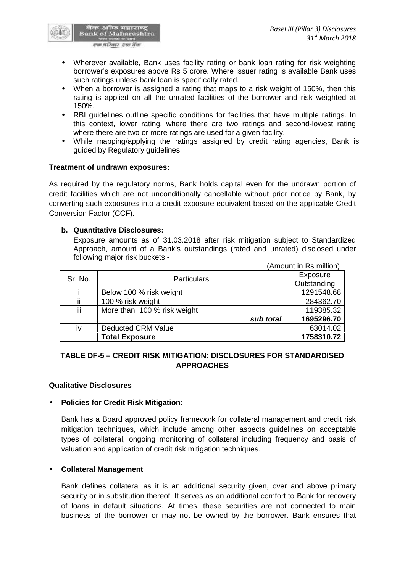

- Wherever available, Bank uses facility rating or bank loan rating for risk weighting borrower's exposures above Rs 5 crore. Where issuer rating is available Bank uses such ratings unless bank loan is specifically rated.
- When a borrower is assigned a rating that maps to a risk weight of 150%, then this rating is applied on all the unrated facilities of the borrower and risk weighted at 150%.
- RBI guidelines outline specific conditions for facilities that have multiple ratings. In this context, lower rating, where there are two ratings and second-lowest rating where there are two or more ratings are used for a given facility.
- While mapping/applying the ratings assigned by credit rating agencies, Bank is guided by Regulatory guidelines.

## **Treatment of undrawn exposures:**

As required by the regulatory norms, Bank holds capital even for the undrawn portion of credit facilities which are not unconditionally cancellable without prior notice by Bank, by converting such exposures into a credit exposure equivalent based on the applicable Credit Conversion Factor (CCF).

#### **b. Quantitative Disclosures:**

Exposure amounts as of 31.03.2018 after risk mitigation subject to Standardized Approach, amount of a Bank's outstandings (rated and unrated) disclosed under following major risk buckets:-

|     |                             | (Amount in Rs million) |
|-----|-----------------------------|------------------------|
|     | Sr. No.<br>Particulars      | Exposure               |
|     |                             | Outstanding            |
|     | Below 100 % risk weight     | 1291548.68             |
| ii  | 100 % risk weight           | 284362.70              |
| iii | More than 100 % risk weight | 119385.32              |
|     | sub total                   | 1695296.70             |
| iv  | <b>Deducted CRM Value</b>   | 63014.02               |
|     | <b>Total Exposure</b>       | 1758310.72             |

## **TABLE DF-5 – CREDIT RISK MITIGATION: DISCLOSURES FOR STANDARDISED APPROACHES**

## **Qualitative Disclosures**

## **Policies for Credit Risk Mitigation:**

Bank has a Board approved policy framework for collateral management and credit risk mitigation techniques, which include among other aspects guidelines on acceptable types of collateral, ongoing monitoring of collateral including frequency and basis of valuation and application of credit risk mitigation techniques.

## **Collateral Management**

Bank defines collateral as it is an additional security given, over and above primary security or in substitution thereof. It serves as an additional comfort to Bank for recovery of loans in default situations. At times, these securities are not connected to main business of the borrower or may not be owned by the borrower. Bank ensures that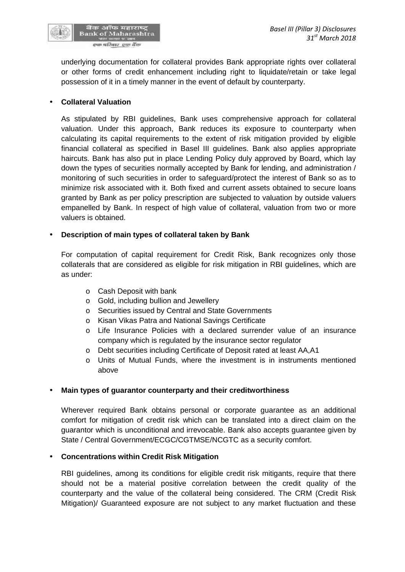

underlying documentation for collateral provides Bank appropriate rights over collateral or other forms of credit enhancement including right to liquidate/retain or take legal possession of it in a timely manner in the event of default by counterparty.

## **Collateral Valuation**

As stipulated by RBI guidelines, Bank uses comprehensive approach for collateral valuation. Under this approach, Bank reduces its exposure to counterparty when calculating its capital requirements to the extent of risk mitigation provided by eligible financial collateral as specified in Basel III guidelines. Bank also applies appropriate haircuts. Bank has also put in place Lending Policy duly approved by Board, which lay down the types of securities normally accepted by Bank for lending, and administration / monitoring of such securities in order to safeguard/protect the interest of Bank so as to minimize risk associated with it. Both fixed and current assets obtained to secure loans granted by Bank as per policy prescription are subjected to valuation by outside valuers empanelled by Bank. In respect of high value of collateral, valuation from two or more valuers is obtained.

## **Description of main types of collateral taken by Bank**

For computation of capital requirement for Credit Risk, Bank recognizes only those collaterals that are considered as eligible for risk mitigation in RBI guidelines, which are as under:

- o Cash Deposit with bank
- o Gold, including bullion and Jewellery
- o Securities issued by Central and State Governments
- o Kisan Vikas Patra and National Savings Certificate
- o Life Insurance Policies with a declared surrender value of an insurance company which is regulated by the insurance sector regulator
- o Debt securities including Certificate of Deposit rated at least AA,A1
- o Units of Mutual Funds, where the investment is in instruments mentioned above

## **Main types of guarantor counterparty and their creditworthiness**

Wherever required Bank obtains personal or corporate guarantee as an additional comfort for mitigation of credit risk which can be translated into a direct claim on the guarantor which is unconditional and irrevocable. Bank also accepts guarantee given by State / Central Government/ECGC/CGTMSE/NCGTC as a security comfort.

## **Concentrations within Credit Risk Mitigation**

RBI guidelines, among its conditions for eligible credit risk mitigants, require that there should not be a material positive correlation between the credit quality of the counterparty and the value of the collateral being considered. The CRM (Credit Risk Mitigation)/ Guaranteed exposure are not subject to any market fluctuation and these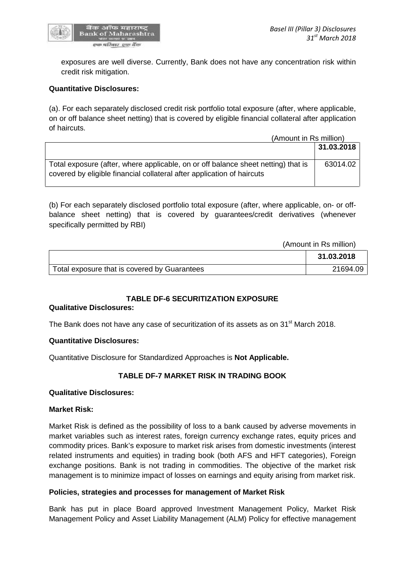

exposures are well diverse. Currently, Bank does not have any concentration risk within credit risk mitigation.

## **Quantitative Disclosures:**

(a). For each separately disclosed credit risk portfolio total exposure (after, where applicable, on or off balance sheet netting) that is covered by eligible financial collateral after application of haircuts.

|                                                                                                                                                             | (Amount in Rs million) |  |
|-------------------------------------------------------------------------------------------------------------------------------------------------------------|------------------------|--|
|                                                                                                                                                             | 31.03.2018             |  |
| Total exposure (after, where applicable, on or off balance sheet netting) that is<br>covered by eligible financial collateral after application of haircuts | 63014.02               |  |

(b) For each separately disclosed portfolio total exposure (after, where applicable, on- or off balance sheet netting) that is covered by guarantees/credit derivatives (whenever specifically permitted by RBI)

(Amount in Rs million)

|                                              | 31.03.2018 |  |
|----------------------------------------------|------------|--|
| Total exposure that is covered by Guarantees | 21694.09   |  |

# **TABLE DF-6 SECURITIZATION EXPOSURE**

## **Qualitative Disclosures:**

The Bank does not have any case of securitization of its assets as on 31<sup>st</sup> March 2018.

## **Quantitative Disclosures:**

Quantitative Disclosure for Standardized Approaches is **Not Applicable.**

## **TABLE DF-7 MARKET RISK IN TRADING BOOK**

## **Qualitative Disclosures:**

#### **Market Risk:**

Market Risk is defined as the possibility of loss to a bank caused by adverse movements in market variables such as interest rates, foreign currency exchange rates, equity prices and commodity prices. Bank's exposure to market risk arises from domestic investments (interest related instruments and equities) in trading book (both AFS and HFT categories), Foreign exchange positions. Bank is not trading in commodities. The objective of the market risk management is to minimize impact of losses on earnings and equity arising from market risk.

## **Policies, strategies and processes for management of Market Risk**

Bank has put in place Board approved Investment Management Policy, Market Risk Management Policy and Asset Liability Management (ALM) Policy for effective management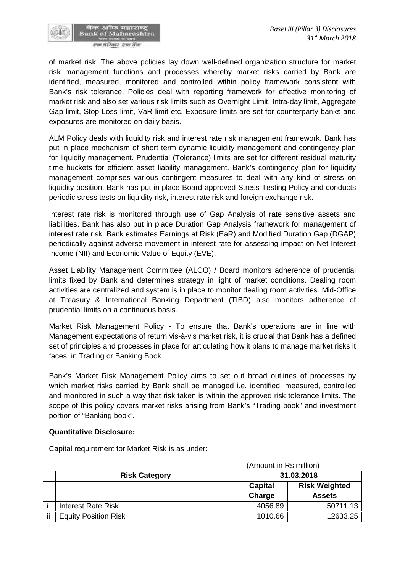

of market risk. The above policies lay down well-defined organization structure for market risk management functions and processes whereby market risks carried by Bank are identified, measured, monitored and controlled within policy framework consistent with Bank's risk tolerance. Policies deal with reporting framework for effective monitoring of market risk and also set various risk limits such as Overnight Limit, Intra-day limit, Aggregate Gap limit, Stop Loss limit, VaR limit etc. Exposure limits are set for counterparty banks and exposures are monitored on daily basis.

ALM Policy deals with liquidity risk and interest rate risk management framework. Bank has put in place mechanism of short term dynamic liquidity management and contingency plan for liquidity management. Prudential (Tolerance) limits are set for different residual maturity time buckets for efficient asset liability management. Bank's contingency plan for liquidity management comprises various contingent measures to deal with any kind of stress on liquidity position. Bank has put in place Board approved Stress Testing Policy and conducts periodic stress tests on liquidity risk, interest rate risk and foreign exchange risk.

Interest rate risk is monitored through use of Gap Analysis of rate sensitive assets and liabilities. Bank has also put in place Duration Gap Analysis framework for management of interest rate risk. Bank estimates Earnings at Risk (EaR) and Modified Duration Gap (DGAP) periodically against adverse movement in interest rate for assessing impact on Net Interest Income (NII) and Economic Value of Equity (EVE).

Asset Liability Management Committee (ALCO) / Board monitors adherence of prudential limits fixed by Bank and determines strategy in light of market conditions. Dealing room activities are centralized and system is in place to monitor dealing room activities. Mid-Office at Treasury & International Banking Department (TIBD) also monitors adherence of prudential limits on a continuous basis.

Market Risk Management Policy - To ensure that Bank's operations are in line with Management expectations of return vis-à-vis market risk, it is crucial that Bank has a defined set of principles and processes in place for articulating how it plans to manage market risks it faces, in Trading or Banking Book.

Bank's Market Risk Management Policy aims to set out broad outlines of processes by which market risks carried by Bank shall be managed i.e. identified, measured, controlled and monitored in such a way that risk taken is within the approved risk tolerance limits. The scope of this policy covers market risks arising from Bank's "Trading book" and investment portion of "Banking book".

#### **Quantitative Disclosure:**

Capital requirement for Market Risk is as under:

|    |                             | (Amount in Rs million) |                      |  |
|----|-----------------------------|------------------------|----------------------|--|
|    | <b>Risk Category</b>        |                        | 31.03.2018           |  |
|    |                             | Capital                | <b>Risk Weighted</b> |  |
|    |                             | Charge                 | <b>Assets</b>        |  |
|    | <b>Interest Rate Risk</b>   | 4056.89                | 50711.13             |  |
| ii | <b>Equity Position Risk</b> | 1010.66                | 12633.25             |  |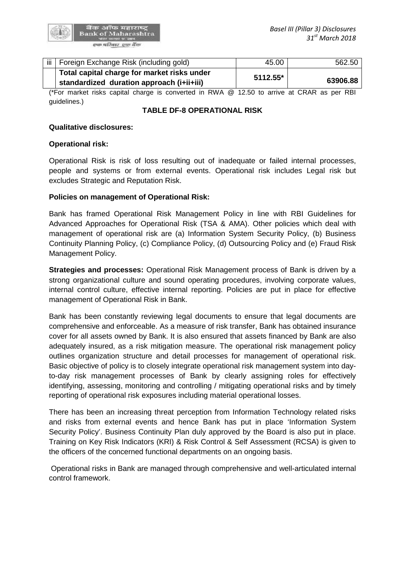

| iii   Foreign Exchange Risk (including gold) | 45.00      | 562.50   |  |
|----------------------------------------------|------------|----------|--|
| Total capital charge for market risks under  | $5112.55*$ |          |  |
| standardized duration approach (i+ii+iii)    |            | 63906.88 |  |

(\*For market risks capital charge is converted in RWA @ 12.50 to arrive at CRAR as per RBI guidelines.)

#### **TABLE DF-8 OPERATIONAL RISK**

#### **Qualitative disclosures:**

#### **Operational risk:**

Operational Risk is risk of loss resulting out of inadequate or failed internal processes, people and systems or from external events. Operational risk includes Legal risk but excludes Strategic and Reputation Risk.

#### **Policies on management of Operational Risk:**

Bank has framed Operational Risk Management Policy in line with RBI Guidelines for Advanced Approaches for Operational Risk (TSA & AMA). Other policies which deal with management of operational risk are (a) Information System Security Policy, (b) Business Continuity Planning Policy, (c) Compliance Policy, (d) Outsourcing Policy and (e) Fraud Risk Management Policy.

**Strategies and processes:** Operational Risk Management process of Bank is driven by a strong organizational culture and sound operating procedures, involving corporate values, internal control culture, effective internal reporting. Policies are put in place for effective management of Operational Risk in Bank.

Bank has been constantly reviewing legal documents to ensure that legal documents are comprehensive and enforceable. As a measure of risk transfer, Bank has obtained insurance cover for all assets owned by Bank. It is also ensured that assets financed by Bank are also adequately insured, as a risk mitigation measure. The operational risk management policy outlines organization structure and detail processes for management of operational risk. Basic objective of policy is to closely integrate operational risk management system into dayto-day risk management processes of Bank by clearly assigning roles for effectively identifying, assessing, monitoring and controlling / mitigating operational risks and by timely reporting of operational risk exposures including material operational losses.

There has been an increasing threat perception from Information Technology related risks and risks from external events and hence Bank has put in place 'Information System Security Policy'. Business Continuity Plan duly approved by the Board is also put in place. Training on Key Risk Indicators (KRI) & Risk Control & Self Assessment (RCSA) is given to the officers of the concerned functional departments on an ongoing basis.

Operational risks in Bank are managed through comprehensive and well-articulated internal control framework.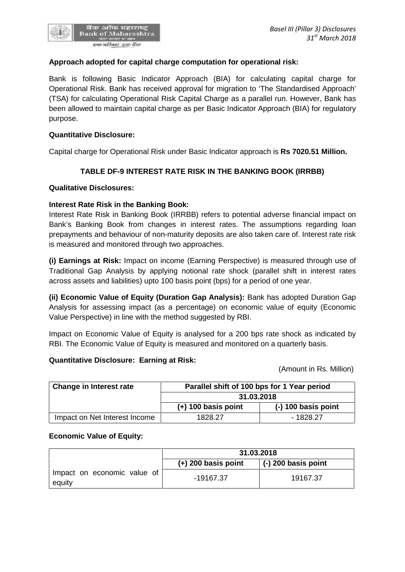

Bank is following Basic Indicator Approach (BIA) for calculating capital charge for Operational Risk. Bank has received approval for migration to 'The Standardised Approach' (TSA) for calculating Operational Risk Capital Charge as a parallel run. However, Bank has been allowed to maintain capital charge as per Basic Indicator Approach (BIA) for regulatory purpose.

# **Quantitative Disclosure:**

Capital charge for Operational Risk under Basic Indicator approach is **Rs 7020.51 Million.**

# **TABLE DF-9 INTEREST RATE RISK IN THE BANKING BOOK (IRRBB)**

## **Qualitative Disclosures:**

## **Interest Rate Risk in the Banking Book:**

Interest Rate Risk in Banking Book (IRRBB) refers to potential adverse financial impact on Bank's Banking Book from changes in interest rates. The assumptions regarding loan prepayments and behaviour of non-maturity deposits are also taken care of. Interest rate risk is measured and monitored through two approaches.

**(i) Earnings at Risk:** Impact on income (Earning Perspective) is measured through use of Traditional Gap Analysis by applying notional rate shock (parallel shift in interest rates across assets and liabilities) upto 100 basis point (bps) for a period of one year.

**(ii) Economic Value of Equity (Duration Gap Analysis):** Bank has adopted Duration Gap Analysis for assessing impact (as a percentage) on economic value of equity (Economic Value Perspective) in line with the method suggested by RBI.

Impact on Economic Value of Equity is analysed for a 200 bps rate shock as indicated by RBI. The Economic Value of Equity is measured and monitored on a quarterly basis.

## **Quantitative Disclosure: Earning at Risk:**

(Amount in Rs. Million)

*31 st March 2018*

| Change in Interest rate       | Parallel shift of 100 bps for 1 Year period |                       |  |
|-------------------------------|---------------------------------------------|-----------------------|--|
|                               | 31.03.2018                                  |                       |  |
|                               | $(+)$ 100 basis point                       | $(-)$ 100 basis point |  |
| Impact on Net Interest Income | 1828.27                                     | $-1828.27$            |  |

## **Economic Value of Equity:**

|                                       | 31.03.2018            |                     |
|---------------------------------------|-----------------------|---------------------|
|                                       | $(+)$ 200 basis point | (-) 200 basis point |
| Impact on economic value of<br>equity | -19167.37             | 19167.37            |

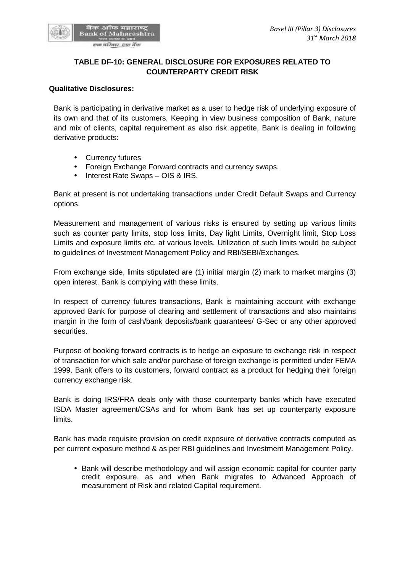

# **TABLE DF-10: GENERAL DISCLOSURE FOR EXPOSURES RELATED TO COUNTERPARTY CREDIT RISK**

#### **Qualitative Disclosures:**

Bank is participating in derivative market as a user to hedge risk of underlying exposure of its own and that of its customers. Keeping in view business composition of Bank, nature and mix of clients, capital requirement as also risk appetite, Bank is dealing in following derivative products:

- Currency futures
- Foreign Exchange Forward contracts and currency swaps.
- Interest Rate Swaps OIS & IRS.

Bank at present is not undertaking transactions under Credit Default Swaps and Currency options.

Measurement and management of various risks is ensured by setting up various limits such as counter party limits, stop loss limits, Day light Limits, Overnight limit, Stop Loss Limits and exposure limits etc. at various levels. Utilization of such limits would be subject to guidelines of Investment Management Policy and RBI/SEBI/Exchanges.

From exchange side, limits stipulated are (1) initial margin (2) mark to market margins (3) open interest. Bank is complying with these limits.

In respect of currency futures transactions, Bank is maintaining account with exchange approved Bank for purpose of clearing and settlement of transactions and also maintains margin in the form of cash/bank deposits/bank guarantees/ G-Sec or any other approved securities.

Purpose of booking forward contracts is to hedge an exposure to exchange risk in respect of transaction for which sale and/or purchase of foreign exchange is permitted under FEMA 1999. Bank offers to its customers, forward contract as a product for hedging their foreign currency exchange risk.

Bank is doing IRS/FRA deals only with those counterparty banks which have executed ISDA Master agreement/CSAs and for whom Bank has set up counterparty exposure limits.

Bank has made requisite provision on credit exposure of derivative contracts computed as per current exposure method & as per RBI guidelines and Investment Management Policy.

• Bank will describe methodology and will assign economic capital for counter party credit exposure, as and when Bank migrates to Advanced Approach of measurement of Risk and related Capital requirement.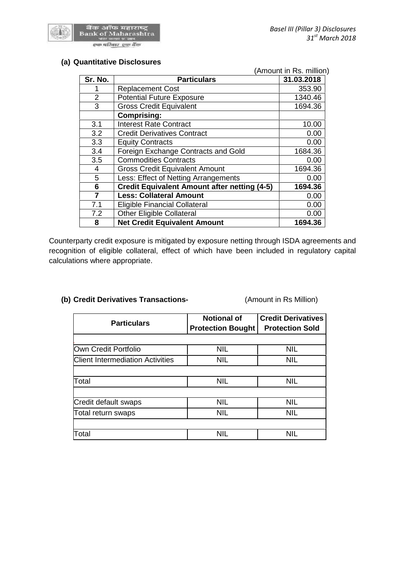

## **(a) Quantitative Disclosures**

|                |                                                     | (Amount in Rs. million) |
|----------------|-----------------------------------------------------|-------------------------|
| Sr. No.        | <b>Particulars</b>                                  | 31.03.2018              |
|                | <b>Replacement Cost</b>                             | 353.90                  |
| 2              | <b>Potential Future Exposure</b>                    | 1340.46                 |
| 3              | <b>Gross Credit Equivalent</b>                      | 1694.36                 |
|                | <b>Comprising:</b>                                  |                         |
| 3.1            | <b>Interest Rate Contract</b>                       | 10.00                   |
| 3.2            | <b>Credit Derivatives Contract</b>                  | 0.00                    |
| 3.3            | <b>Equity Contracts</b>                             | 0.00                    |
| 3.4            | Foreign Exchange Contracts and Gold                 | 1684.36                 |
| 3.5            | <b>Commodities Contracts</b>                        | 0.00                    |
| 4              | <b>Gross Credit Equivalent Amount</b>               | 1694.36                 |
| 5              | Less: Effect of Netting Arrangements                | 0.00                    |
| 6              | <b>Credit Equivalent Amount after netting (4-5)</b> | 1694.36                 |
| $\overline{7}$ | <b>Less: Collateral Amount</b>                      | 0.00                    |
| 7.1            | <b>Eligible Financial Collateral</b>                | 0.00                    |
| 7.2            | <b>Other Eligible Collateral</b>                    | 0.00                    |
| 8              | <b>Net Credit Equivalent Amount</b>                 | 1694.36                 |

Counterparty credit exposure is mitigated by exposure netting through ISDA agreements and recognition of eligible collateral, effect of which have been included in regulatory capital calculations where appropriate.

## **(b) Credit Derivatives Transactions-** (Amount in Rs Million)

| <b>Particulars</b>                      | <b>Notional of</b><br><b>Protection Bought</b> | <b>Credit Derivatives</b><br><b>Protection Sold</b> |
|-----------------------------------------|------------------------------------------------|-----------------------------------------------------|
|                                         |                                                |                                                     |
| Own Credit Portfolio                    | <b>NIL</b>                                     | <b>NIL</b>                                          |
| <b>Client Intermediation Activities</b> | NIL                                            | <b>NIL</b>                                          |
|                                         |                                                |                                                     |
| Total                                   | <b>NIL</b>                                     | <b>NIL</b>                                          |
|                                         |                                                |                                                     |
| Credit default swaps                    | <b>NIL</b>                                     | <b>NIL</b>                                          |
| Total return swaps                      | <b>NIL</b>                                     | <b>NIL</b>                                          |
|                                         |                                                |                                                     |
| Total                                   | <b>NIL</b>                                     | <b>NIL</b>                                          |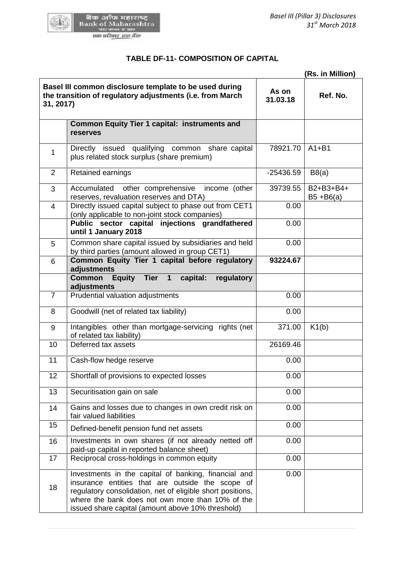

# **TABLE DF-11- COMPOSITION OF CAPITAL**

|                |                                                                                                                                                                                                                                                                                 | (Rs. in Million)  |                           |  |
|----------------|---------------------------------------------------------------------------------------------------------------------------------------------------------------------------------------------------------------------------------------------------------------------------------|-------------------|---------------------------|--|
| 31, 2017)      | Basel III common disclosure template to be used during<br>the transition of regulatory adjustments (i.e. from March                                                                                                                                                             | As on<br>31.03.18 | Ref. No.                  |  |
|                | <b>Common Equity Tier 1 capital: instruments and</b><br>reserves                                                                                                                                                                                                                |                   |                           |  |
| 1              | Directly issued qualifying common share capital<br>plus related stock surplus (share premium)                                                                                                                                                                                   | 78921.70          | $A1 + B1$                 |  |
| $\overline{2}$ | Retained earnings                                                                                                                                                                                                                                                               | $-25436.59$       | B8(a)                     |  |
| 3              | Accumulated other comprehensive<br>income (other<br>reserves, revaluation reserves and DTA)                                                                                                                                                                                     | 39739.55          | B2+B3+B4+<br>$B5 + B6(a)$ |  |
| 4              | Directly issued capital subject to phase out from CET1<br>(only applicable to non-joint stock companies)                                                                                                                                                                        | 0.00              |                           |  |
|                | Public sector capital injections grandfathered<br>until 1 January 2018                                                                                                                                                                                                          | 0.00              |                           |  |
| 5              | Common share capital issued by subsidiaries and held<br>by third parties (amount allowed in group CET1)                                                                                                                                                                         | 0.00              |                           |  |
| $6\phantom{1}$ | Common Equity Tier 1 capital before regulatory<br>adjustments                                                                                                                                                                                                                   | 93224.67          |                           |  |
|                | Equity Tier 1<br><b>Common</b><br>capital:<br>regulatory<br>adjustments                                                                                                                                                                                                         |                   |                           |  |
| $\overline{7}$ | Prudential valuation adjustments                                                                                                                                                                                                                                                | 0.00              |                           |  |
| 8              | Goodwill (net of related tax liability)                                                                                                                                                                                                                                         | 0.00              |                           |  |
| 9              | Intangibles other than mortgage-servicing rights (net<br>of related tax liability)                                                                                                                                                                                              | 371.00            | K1(b)                     |  |
| 10             | Deferred tax assets                                                                                                                                                                                                                                                             | 26169.46          |                           |  |
| 11             | Cash-flow hedge reserve                                                                                                                                                                                                                                                         | 0.00              |                           |  |
| 12             | Shortfall of provisions to expected losses                                                                                                                                                                                                                                      | 0.00              |                           |  |
| 13             | Securitisation gain on sale                                                                                                                                                                                                                                                     | 0.00              |                           |  |
| 14             | Gains and losses due to changes in own credit risk on<br>fair valued liabilities                                                                                                                                                                                                | 0.00              |                           |  |
| 15             | Defined-benefit pension fund net assets                                                                                                                                                                                                                                         | 0.00              |                           |  |
| 16             | Investments in own shares (if not already netted off<br>paid-up capital in reported balance sheet)                                                                                                                                                                              | 0.00              |                           |  |
| 17             | Reciprocal cross-holdings in common equity                                                                                                                                                                                                                                      | 0.00              |                           |  |
| 18             | Investments in the capital of banking, financial and<br>insurance entities that are outside the scope of<br>regulatory consolidation, net of eligible short positions,<br>where the bank does not own more than 10% of the<br>issued share capital (amount above 10% threshold) | 0.00              |                           |  |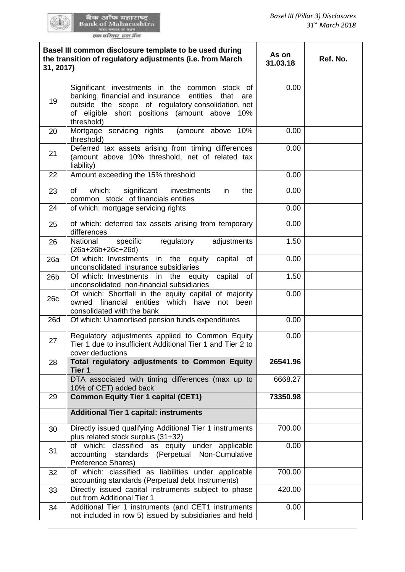| 31, 2017)       | Basel III common disclosure template to be used during<br>the transition of regulatory adjustments (i.e. from March                                                                                                                | As on<br>31.03.18 | Ref. No. |
|-----------------|------------------------------------------------------------------------------------------------------------------------------------------------------------------------------------------------------------------------------------|-------------------|----------|
| 19              | Significant investments in the common stock of<br>banking, financial and insurance entities<br>that<br>are<br>outside the scope of regulatory consolidation, net<br>of eligible short positions (amount above<br>10%<br>threshold) | 0.00              |          |
| 20              | Mortgage servicing rights<br>(amount above<br>10%<br>threshold)                                                                                                                                                                    | 0.00              |          |
| 21              | Deferred tax assets arising from timing differences<br>(amount above 10% threshold, net of related tax<br>liability)                                                                                                               | 0.00              |          |
| 22              | Amount exceeding the 15% threshold                                                                                                                                                                                                 | 0.00              |          |
| 23              | which:<br>significant<br>of<br>investments<br>the<br>in<br>common stock of financials entities                                                                                                                                     | 0.00              |          |
| 24              | of which: mortgage servicing rights                                                                                                                                                                                                | 0.00              |          |
| 25              | of which: deferred tax assets arising from temporary<br>differences                                                                                                                                                                | 0.00              |          |
| 26              | National<br>specific<br>regulatory<br>adjustments<br>$(26a+26b+26c+26d)$                                                                                                                                                           | 1.50              |          |
| 26a             | Of which: Investments in the equity<br>of<br>capital<br>unconsolidated insurance subsidiaries                                                                                                                                      | 0.00              |          |
| 26 <sub>b</sub> | Of which: Investments<br>the<br>capital<br>of<br>in<br>equity                                                                                                                                                                      | 1.50              |          |
| 26c             | unconsolidated non-financial subsidiaries<br>Of which: Shortfall in the equity capital of majority<br>owned financial entities which have<br>not been<br>consolidated with the bank                                                | 0.00              |          |
| 26d             | Of which: Unamortised pension funds expenditures                                                                                                                                                                                   | 0.00              |          |
| 27              | Regulatory adjustments applied to Common Equity<br>Tier 1 due to insufficient Additional Tier 1 and Tier 2 to<br>cover deductions                                                                                                  | 0.00              |          |
| 28              | Total regulatory adjustments to Common Equity<br>Tier 1                                                                                                                                                                            | 26541.96          |          |
|                 | DTA associated with timing differences (max up to<br>10% of CET) added back                                                                                                                                                        | 6668.27           |          |
| 29              | <b>Common Equity Tier 1 capital (CET1)</b>                                                                                                                                                                                         | 73350.98          |          |
|                 | <b>Additional Tier 1 capital: instruments</b>                                                                                                                                                                                      |                   |          |
| 30              | Directly issued qualifying Additional Tier 1 instruments<br>plus related stock surplus (31+32)                                                                                                                                     | 700.00            |          |
| 31              | of which: classified as equity under applicable<br>accounting<br>standards (Perpetual Non-Cumulative<br>Preference Shares)                                                                                                         | 0.00              |          |
| 32              | of which: classified as liabilities under applicable<br>accounting standards (Perpetual debt Instruments)                                                                                                                          | 700.00            |          |
| 33              | Directly issued capital instruments subject to phase<br>out from Additional Tier 1                                                                                                                                                 | 420.00            |          |
| 34              | Additional Tier 1 instruments (and CET1 instruments<br>not included in row 5) issued by subsidiaries and held                                                                                                                      | 0.00              |          |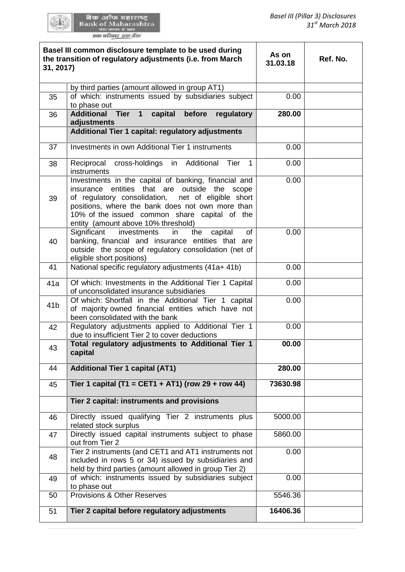| 31, 2017)       | Basel III common disclosure template to be used during<br>the transition of regulatory adjustments (i.e. from March                                                                                  | As on<br>31.03.18 | Ref. No. |  |  |
|-----------------|------------------------------------------------------------------------------------------------------------------------------------------------------------------------------------------------------|-------------------|----------|--|--|
|                 | by third parties (amount allowed in group AT1)                                                                                                                                                       |                   |          |  |  |
| 35              | of which: instruments issued by subsidiaries subject<br>to phase out                                                                                                                                 | 0.00              |          |  |  |
| 36              | <b>Additional Tier</b><br>capital<br>before<br>$\mathbf 1$<br>regulatory                                                                                                                             | 280.00            |          |  |  |
|                 | adjustments                                                                                                                                                                                          |                   |          |  |  |
|                 | Additional Tier 1 capital: regulatory adjustments                                                                                                                                                    |                   |          |  |  |
| 37              | Investments in own Additional Tier 1 instruments                                                                                                                                                     | 0.00              |          |  |  |
| 38              | Reciprocal cross-holdings in Additional<br>Tier<br>$\mathbf{1}$<br>instruments                                                                                                                       | 0.00              |          |  |  |
| 39              | Investments in the capital of banking, financial and<br>insurance entities that are outside the scope<br>of regulatory consolidation, net of eligible short                                          | 0.00              |          |  |  |
|                 | positions, where the bank does not own more than<br>10% of the issued common share capital of the<br>entity (amount above 10% threshold)                                                             |                   |          |  |  |
| 40              | Significant<br>investments<br>of<br>in<br>the<br>capital<br>banking, financial and insurance entities that are<br>outside the scope of regulatory consolidation (net of<br>eligible short positions) | 0.00              |          |  |  |
| 41              | National specific regulatory adjustments (41a+ 41b)                                                                                                                                                  | 0.00              |          |  |  |
| 41a             | Of which: Investments in the Additional Tier 1 Capital<br>of unconsolidated insurance subsidiaries                                                                                                   | 0.00              |          |  |  |
| 41 <sub>b</sub> | Of which: Shortfall in the Additional Tier 1 capital<br>of majority owned financial entities which have not<br>been consolidated with the bank                                                       | 0.00              |          |  |  |
| 42              | Regulatory adjustments applied to Additional Tier 1<br>due to insufficient Tier 2 to cover deductions                                                                                                | 0.00              |          |  |  |
| 43              | Total regulatory adjustments to Additional Tier 1<br>00.00<br>capital                                                                                                                                |                   |          |  |  |
| 44              | <b>Additional Tier 1 capital (AT1)</b>                                                                                                                                                               | 280.00            |          |  |  |
| 45              | Tier 1 capital (T1 = CET1 + AT1) (row 29 + row 44)                                                                                                                                                   | 73630.98          |          |  |  |
|                 | Tier 2 capital: instruments and provisions                                                                                                                                                           |                   |          |  |  |
| 46              | Directly issued qualifying Tier 2 instruments plus<br>related stock surplus                                                                                                                          | 5000.00           |          |  |  |
| 47              | Directly issued capital instruments subject to phase<br>out from Tier 2                                                                                                                              | 5860.00           |          |  |  |
| 48              | Tier 2 instruments (and CET1 and AT1 instruments not<br>included in rows 5 or 34) issued by subsidiaries and<br>held by third parties (amount allowed in group Tier 2)                               | 0.00              |          |  |  |
| 49              | of which: instruments issued by subsidiaries subject<br>to phase out                                                                                                                                 | 0.00              |          |  |  |
| 50              | <b>Provisions &amp; Other Reserves</b>                                                                                                                                                               | 5546.36           |          |  |  |
| 51              | Tier 2 capital before regulatory adjustments<br>16406.36                                                                                                                                             |                   |          |  |  |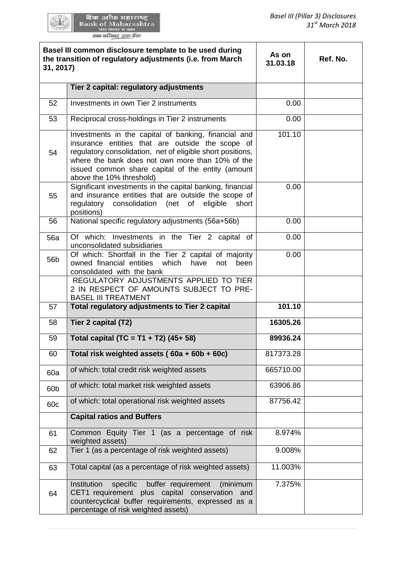खेळ आँफ महाराष्ट्र<br>Bank of Maharashtra<br>we meet was

| Basel III common disclosure template to be used during<br>the transition of regulatory adjustments (i.e. from March<br>31, 2017) |                                                                                                                                                                                                                                                                                                             | As on<br>31.03.18 | Ref. No. |
|----------------------------------------------------------------------------------------------------------------------------------|-------------------------------------------------------------------------------------------------------------------------------------------------------------------------------------------------------------------------------------------------------------------------------------------------------------|-------------------|----------|
|                                                                                                                                  | Tier 2 capital: regulatory adjustments                                                                                                                                                                                                                                                                      |                   |          |
| 52                                                                                                                               | Investments in own Tier 2 instruments                                                                                                                                                                                                                                                                       | 0.00              |          |
| 53                                                                                                                               | Reciprocal cross-holdings in Tier 2 instruments                                                                                                                                                                                                                                                             | 0.00              |          |
| 54                                                                                                                               | Investments in the capital of banking, financial and<br>insurance entities that are outside the scope of<br>regulatory consolidation, net of eligible short positions,<br>where the bank does not own more than 10% of the<br>issued common share capital of the entity (amount<br>above the 10% threshold) | 101.10            |          |
| 55                                                                                                                               | Significant investments in the capital banking, financial<br>and insurance entities that are outside the scope of<br>regulatory consolidation<br>(net<br>of eligible<br>short<br>positions)                                                                                                                 | 0.00              |          |
| 56                                                                                                                               | National specific regulatory adjustments (56a+56b)                                                                                                                                                                                                                                                          | 0.00              |          |
| <b>56a</b>                                                                                                                       | Of which: Investments in the Tier 2 capital of<br>unconsolidated subsidiaries                                                                                                                                                                                                                               | 0.00              |          |
| 56 <sub>b</sub>                                                                                                                  | Of which: Shortfall in the Tier 2 capital of majority<br>owned financial entities which<br>have<br>not<br>been<br>consolidated with the bank                                                                                                                                                                | 0.00              |          |
|                                                                                                                                  | REGULATORY ADJUSTMENTS APPLIED TO TIER<br>2 IN RESPECT OF AMOUNTS SUBJECT TO PRE-<br><b>BASEL III TREATMENT</b>                                                                                                                                                                                             |                   |          |
| 57                                                                                                                               | Total regulatory adjustments to Tier 2 capital                                                                                                                                                                                                                                                              | 101.10            |          |
| 58                                                                                                                               | Tier 2 capital (T2)                                                                                                                                                                                                                                                                                         | 16305.26          |          |
| 59                                                                                                                               | Total capital (TC = T1 + T2) $(45+58)$                                                                                                                                                                                                                                                                      | 89936.24          |          |
| 60                                                                                                                               | Total risk weighted assets (60a + 60b + 60c)                                                                                                                                                                                                                                                                | 817373.28         |          |
| 60a                                                                                                                              | of which: total credit risk weighted assets                                                                                                                                                                                                                                                                 | 665710.00         |          |
| 60 <sub>b</sub>                                                                                                                  | of which: total market risk weighted assets                                                                                                                                                                                                                                                                 | 63906.86          |          |
| 60c                                                                                                                              | of which: total operational risk weighted assets                                                                                                                                                                                                                                                            | 87756.42          |          |
|                                                                                                                                  | <b>Capital ratios and Buffers</b>                                                                                                                                                                                                                                                                           |                   |          |
| 61                                                                                                                               | Common Equity Tier 1 (as a percentage of risk<br>weighted assets)                                                                                                                                                                                                                                           | 8.974%            |          |
| 62                                                                                                                               | Tier 1 (as a percentage of risk weighted assets)                                                                                                                                                                                                                                                            | 9.008%            |          |
| 63                                                                                                                               | Total capital (as a percentage of risk weighted assets)                                                                                                                                                                                                                                                     | 11.003%           |          |
| 64                                                                                                                               | Institution<br>specific<br>buffer requirement<br>(minimum<br>CET1 requirement plus capital conservation<br>and<br>countercyclical buffer requirements, expressed as a<br>percentage of risk weighted assets)                                                                                                | 7.375%            |          |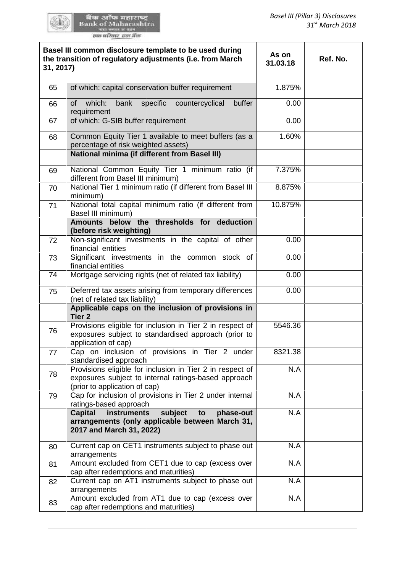| Basel III common disclosure template to be used during<br>the transition of regulatory adjustments (i.e. from March<br>31, 2017) |                                                                                                                                                     | As on<br>31.03.18 | Ref. No. |
|----------------------------------------------------------------------------------------------------------------------------------|-----------------------------------------------------------------------------------------------------------------------------------------------------|-------------------|----------|
| 65                                                                                                                               | of which: capital conservation buffer requirement                                                                                                   | 1.875%            |          |
| 66                                                                                                                               | which:<br>bank<br>specific<br>countercyclical<br>buffer<br>of<br>requirement                                                                        | 0.00              |          |
| 67                                                                                                                               | of which: G-SIB buffer requirement                                                                                                                  | 0.00              |          |
| 68                                                                                                                               | Common Equity Tier 1 available to meet buffers (as a<br>percentage of risk weighted assets)<br><b>National minima (if different from Basel III)</b> | 1.60%             |          |
| 69                                                                                                                               | National Common Equity Tier 1 minimum ratio (if<br>different from Basel III minimum)                                                                | 7.375%            |          |
| 70                                                                                                                               | National Tier 1 minimum ratio (if different from Basel III<br>minimum)                                                                              | 8.875%            |          |
| 71                                                                                                                               | National total capital minimum ratio (if different from<br>Basel III minimum)                                                                       | 10.875%           |          |
|                                                                                                                                  | Amounts below the thresholds for deduction<br>(before risk weighting)                                                                               |                   |          |
| 72                                                                                                                               | Non-significant investments in the capital of other<br>financial entities                                                                           | 0.00              |          |
| 73                                                                                                                               | Significant investments in the common stock of<br>financial entities                                                                                | 0.00              |          |
| 74                                                                                                                               | Mortgage servicing rights (net of related tax liability)                                                                                            | 0.00              |          |
| 75                                                                                                                               | Deferred tax assets arising from temporary differences<br>(net of related tax liability)                                                            | 0.00              |          |
|                                                                                                                                  | Applicable caps on the inclusion of provisions in<br>Tier <sub>2</sub>                                                                              |                   |          |
| 76                                                                                                                               | Provisions eligible for inclusion in Tier 2 in respect of<br>exposures subject to standardised approach (prior to<br>application of cap)            | 5546.36           |          |
| 77                                                                                                                               | Cap on inclusion of provisions in Tier 2 under<br>standardised approach                                                                             | 8321.38           |          |
| 78                                                                                                                               | Provisions eligible for inclusion in Tier 2 in respect of<br>exposures subject to internal ratings-based approach<br>(prior to application of cap)  | N.A               |          |
| 79                                                                                                                               | Cap for inclusion of provisions in Tier 2 under internal<br>ratings-based approach                                                                  | N.A               |          |
|                                                                                                                                  | <b>Capital</b><br>instruments<br>subject<br>phase-out<br>to<br>arrangements (only applicable between March 31,<br>2017 and March 31, 2022)          | N.A               |          |
| 80                                                                                                                               | Current cap on CET1 instruments subject to phase out<br>arrangements                                                                                | N.A               |          |
| 81                                                                                                                               | Amount excluded from CET1 due to cap (excess over<br>cap after redemptions and maturities)                                                          | N.A               |          |
| 82                                                                                                                               | Current cap on AT1 instruments subject to phase out<br>arrangements                                                                                 | N.A               |          |
| 83                                                                                                                               | Amount excluded from AT1 due to cap (excess over<br>cap after redemptions and maturities)                                                           | N.A               |          |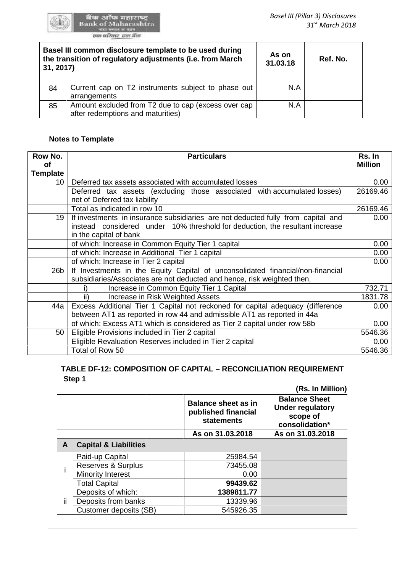

खेळ आँफ महाराष्ट्र<br>Bank of Maharashtra<br>we meet was

| Basel III common disclosure template to be used during<br>the transition of regulatory adjustments (i.e. from March<br>31, 2017) |                                                                                          | As on<br>31.03.18 | Ref. No. |
|----------------------------------------------------------------------------------------------------------------------------------|------------------------------------------------------------------------------------------|-------------------|----------|
| 84                                                                                                                               | Current cap on T2 instruments subject to phase out<br>arrangements                       | N.A               |          |
| 85                                                                                                                               | Amount excluded from T2 due to cap (excess over cap<br>after redemptions and maturities) | N.A               |          |

# **Notes to Template**

| Row No.<br>Οf   | <b>Particulars</b>                                                                                                                                                                         | Rs. In<br><b>Million</b> |
|-----------------|--------------------------------------------------------------------------------------------------------------------------------------------------------------------------------------------|--------------------------|
| <b>Template</b> |                                                                                                                                                                                            |                          |
| 10              | Deferred tax assets associated with accumulated losses                                                                                                                                     | 0.00                     |
|                 | Deferred tax assets (excluding those associated with accumulated losses)<br>net of Deferred tax liability                                                                                  | 26169.46                 |
|                 | Total as indicated in row 10                                                                                                                                                               | 26169.46                 |
| 19              | If investments in insurance subsidiaries are not deducted fully from capital and<br>instead considered under 10% threshold for deduction, the resultant increase<br>in the capital of bank | 0.00                     |
|                 | of which: Increase in Common Equity Tier 1 capital                                                                                                                                         | 0.00                     |
|                 | of which: Increase in Additional Tier 1 capital                                                                                                                                            | 0.00                     |
|                 | of which: Increase in Tier 2 capital                                                                                                                                                       | 0.00                     |
| 26 <sub>b</sub> | If Investments in the Equity Capital of unconsolidated financial/non-financial<br>subsidiaries/Associates are not deducted and hence, risk weighted then,                                  |                          |
|                 | Increase in Common Equity Tier 1 Capital<br>i)                                                                                                                                             | 732.71                   |
|                 | Increase in Risk Weighted Assets<br>ii)                                                                                                                                                    | 1831.78                  |
| 44a             | Excess Additional Tier 1 Capital not reckoned for capital adequacy (difference                                                                                                             | 0.00                     |
|                 | between AT1 as reported in row 44 and admissible AT1 as reported in 44a                                                                                                                    |                          |
|                 | of which: Excess AT1 which is considered as Tier 2 capital under row 58b                                                                                                                   | 0.00                     |
| 50              | Eligible Provisions included in Tier 2 capital                                                                                                                                             | 5546.36                  |
|                 | Eligible Revaluation Reserves included in Tier 2 capital                                                                                                                                   | 0.00                     |
|                 | Total of Row 50                                                                                                                                                                            | 5546.36                  |

#### TABLE DF-12: COMPOSITION OF CAPITAL – RECONCILIATION REQUIREMENT<br>Step 1 **Step 1 (Rs. In Million)**

|    |                                  |                                                                        | (Rs. In Million)                                                              |
|----|----------------------------------|------------------------------------------------------------------------|-------------------------------------------------------------------------------|
|    |                                  | <b>Balance sheet as in</b><br>published financial<br><b>statements</b> | <b>Balance Sheet</b><br><b>Under regulatory</b><br>scope of<br>consolidation* |
|    |                                  | As on 31.03.2018                                                       | As on 31.03.2018                                                              |
| A  | <b>Capital &amp; Liabilities</b> |                                                                        |                                                                               |
|    | Paid-up Capital                  | 25984.54                                                               |                                                                               |
|    | Reserves & Surplus               | 73455.08                                                               |                                                                               |
|    | Minority Interest                | 0.00                                                                   |                                                                               |
|    | <b>Total Capital</b>             | 99439.62                                                               |                                                                               |
| Ϊİ | Deposits of which:               | 1389811.77                                                             |                                                                               |
|    | Deposits from banks              | 13339.96                                                               |                                                                               |
|    | Customer deposits (SB)           | 545926.35                                                              |                                                                               |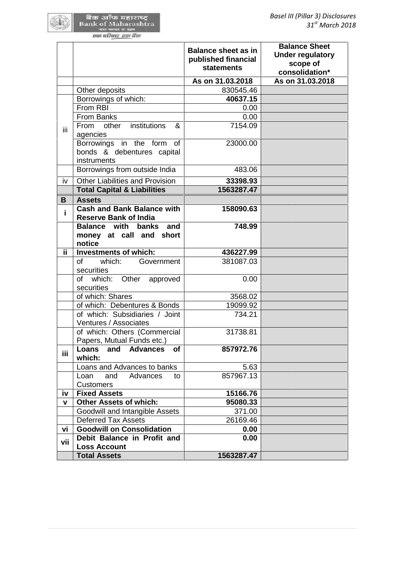|     |                                                                   | <b>Balance sheet as in</b><br>published financial<br><b>statements</b> | <b>Balance Sheet</b><br><b>Under regulatory</b><br>scope of<br>consolidation* |
|-----|-------------------------------------------------------------------|------------------------------------------------------------------------|-------------------------------------------------------------------------------|
|     |                                                                   | As on 31.03.2018                                                       | As on 31.03.2018                                                              |
|     | Other deposits                                                    | 830545.46                                                              |                                                                               |
|     | Borrowings of which:                                              | 40637.15                                                               |                                                                               |
|     | From RBI                                                          | 0.00                                                                   |                                                                               |
|     | <b>From Banks</b>                                                 | 0.00                                                                   |                                                                               |
| iii | institutions<br>From other<br>&<br>agencies                       | 7154.09                                                                |                                                                               |
|     | Borrowings in the form of<br>bonds & debentures capital           | 23000.00                                                               |                                                                               |
|     | instruments                                                       |                                                                        |                                                                               |
|     | Borrowings from outside India                                     | 483.06                                                                 |                                                                               |
| iv  | <b>Other Liabilities and Provision</b>                            | 33398.93                                                               |                                                                               |
|     | <b>Total Capital &amp; Liabilities</b>                            | 1563287.47                                                             |                                                                               |
| B   | <b>Assets</b>                                                     |                                                                        |                                                                               |
| i.  | <b>Cash and Bank Balance with</b><br><b>Reserve Bank of India</b> | 158090.63                                                              |                                                                               |
|     | <b>Balance with banks</b><br>and                                  | 748.99                                                                 |                                                                               |
|     | money at call and short                                           |                                                                        |                                                                               |
|     | notice                                                            |                                                                        |                                                                               |
| ii. | <b>Investments of which:</b>                                      | 436227.99                                                              |                                                                               |
|     | of<br>which:<br>Government<br>securities                          | 381087.03                                                              |                                                                               |
|     | of which: Other approved<br>securities                            | 0.00                                                                   |                                                                               |
|     | of which: Shares                                                  | 3568.02                                                                |                                                                               |
|     | of which: Debentures & Bonds                                      | 19099.92                                                               |                                                                               |
|     | of which: Subsidiaries / Joint                                    | 734.21                                                                 |                                                                               |
|     | Ventures / Associates                                             |                                                                        |                                                                               |
|     | of which: Others (Commercial<br>Papers, Mutual Funds etc.)        | 31738.81                                                               |                                                                               |
| iii | and<br><b>Advances</b><br>Loans<br>of<br>which:                   | 857972.76                                                              |                                                                               |
|     | Loans and Advances to banks                                       | 5.63                                                                   |                                                                               |
|     | Loan<br>Advances<br>and<br>to<br><b>Customers</b>                 | 857967.13                                                              |                                                                               |
| iv  | <b>Fixed Assets</b>                                               | 15166.76                                                               |                                                                               |
| V   | <b>Other Assets of which:</b>                                     | 95080.33                                                               |                                                                               |
|     | Goodwill and Intangible Assets                                    | 371.00                                                                 |                                                                               |
|     | <b>Deferred Tax Assets</b>                                        | 26169.46                                                               |                                                                               |
| vi  | <b>Goodwill on Consolidation</b>                                  | 0.00                                                                   |                                                                               |
| vii | Debit Balance in Profit and                                       | 0.00                                                                   |                                                                               |
|     | <b>Loss Account</b>                                               |                                                                        |                                                                               |
|     | <b>Total Assets</b>                                               | 1563287.47                                                             |                                                                               |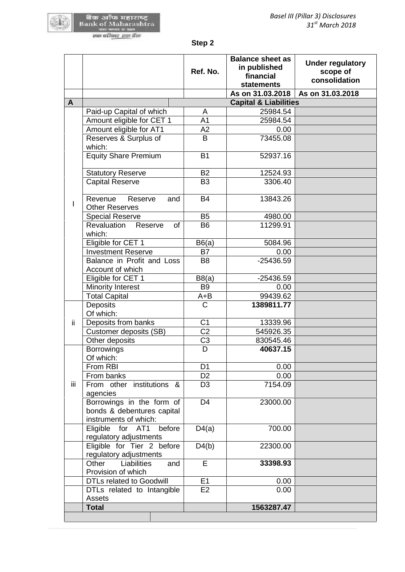**Step 2**

|     |                                         | Step 2                           |                                                                           |                                                      |
|-----|-----------------------------------------|----------------------------------|---------------------------------------------------------------------------|------------------------------------------------------|
|     |                                         | Ref. No.                         | <b>Balance sheet as</b><br>in published<br>financial<br><b>statements</b> | <b>Under regulatory</b><br>scope of<br>consolidation |
| A   |                                         |                                  | As on 31.03.2018<br><b>Capital &amp; Liabilities</b>                      | As on 31.03.2018                                     |
|     | Paid-up Capital of which                |                                  | 25984.54                                                                  |                                                      |
|     |                                         | A<br>A <sub>1</sub>              | 25984.54                                                                  |                                                      |
|     | Amount eligible for CET 1               | A2                               | 0.00                                                                      |                                                      |
|     | Amount eligible for AT1                 | B                                | 73455.08                                                                  |                                                      |
|     | Reserves & Surplus of<br>which:         |                                  |                                                                           |                                                      |
|     | <b>Equity Share Premium</b>             | <b>B1</b>                        | 52937.16                                                                  |                                                      |
|     |                                         |                                  |                                                                           |                                                      |
|     | <b>Statutory Reserve</b>                | <b>B2</b>                        | 12524.93                                                                  |                                                      |
|     | <b>Capital Reserve</b>                  | B <sub>3</sub>                   | 3306.40                                                                   |                                                      |
|     |                                         |                                  |                                                                           |                                                      |
|     | Revenue<br>Reserve<br>and               | <b>B4</b>                        | 13843.26                                                                  |                                                      |
| L   | <b>Other Reserves</b>                   |                                  |                                                                           |                                                      |
|     | <b>Special Reserve</b>                  | <b>B5</b>                        | 4980.00                                                                   |                                                      |
|     | Revaluation<br>Reserve<br><b>of</b>     | <b>B6</b>                        | 11299.91                                                                  |                                                      |
|     | which:                                  |                                  |                                                                           |                                                      |
|     | Eligible for CET 1                      | B6(a)                            | 5084.96                                                                   |                                                      |
|     | <b>Investment Reserve</b>               | B7                               | 0.00                                                                      |                                                      |
|     | Balance in Profit and Loss              | B <sub>8</sub>                   | $-25436.59$                                                               |                                                      |
|     | Account of which                        |                                  |                                                                           |                                                      |
|     | Eligible for CET 1                      | B8(a)                            | $-25436.59$                                                               |                                                      |
|     | <b>Minority Interest</b>                | <b>B9</b>                        | 0.00                                                                      |                                                      |
|     | <b>Total Capital</b>                    | $A + B$                          | 99439.62                                                                  |                                                      |
|     | Deposits                                | C                                | 1389811.77                                                                |                                                      |
|     | Of which:                               |                                  |                                                                           |                                                      |
| ii. | Deposits from banks                     | C <sub>1</sub>                   | 13339.96                                                                  |                                                      |
|     | Customer deposits (SB)                  | C <sub>2</sub>                   | 545926.35                                                                 |                                                      |
|     | Other deposits                          | C <sub>3</sub>                   | 830545.46                                                                 |                                                      |
|     | <b>Borrowings</b>                       | D                                | 40637.15                                                                  |                                                      |
|     | Of which:                               |                                  |                                                                           |                                                      |
|     | From RBI                                | D <sub>1</sub><br>D <sub>2</sub> | 0.00<br>0.00                                                              |                                                      |
| iii | From banks<br>From other institutions & | D <sub>3</sub>                   | 7154.09                                                                   |                                                      |
|     | agencies                                |                                  |                                                                           |                                                      |
|     | Borrowings in the form of               | D <sub>4</sub>                   | 23000.00                                                                  |                                                      |
|     | bonds & debentures capital              |                                  |                                                                           |                                                      |
|     | instruments of which:                   |                                  |                                                                           |                                                      |
|     | for AT1<br>Eligible<br>before           | D4(a)                            | 700.00                                                                    |                                                      |
|     | regulatory adjustments                  |                                  |                                                                           |                                                      |
|     | Eligible for Tier 2 before              | D4(b)                            | 22300.00                                                                  |                                                      |
|     | regulatory adjustments                  |                                  |                                                                           |                                                      |
|     | Other<br>Liabilities<br>and             | E                                | 33398.93                                                                  |                                                      |
|     | Provision of which                      |                                  |                                                                           |                                                      |
|     | <b>DTLs related to Goodwill</b>         | E1                               | 0.00                                                                      |                                                      |
|     | DTLs related to Intangible              | E2                               | 0.00                                                                      |                                                      |
|     | Assets                                  |                                  |                                                                           |                                                      |
|     | <b>Total</b>                            |                                  | 1563287.47                                                                |                                                      |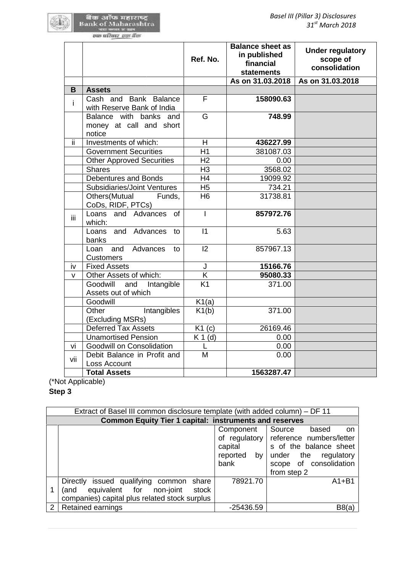|     |                                                      | Ref. No.       | <b>Balance sheet as</b><br>in published<br>financial<br><b>statements</b> | <b>Under regulatory</b><br>scope of<br>consolidation |
|-----|------------------------------------------------------|----------------|---------------------------------------------------------------------------|------------------------------------------------------|
|     |                                                      |                | As on 31.03.2018                                                          | As on 31.03.2018                                     |
| B   | <b>Assets</b>                                        |                |                                                                           |                                                      |
| j.  | Cash and Bank Balance<br>with Reserve Bank of India  | F              | 158090.63                                                                 |                                                      |
|     | Balance with banks and                               | G              | 748.99                                                                    |                                                      |
|     | money at call and short<br>notice                    |                |                                                                           |                                                      |
| ΪÏ  | Investments of which:                                | H.             | 436227.99                                                                 |                                                      |
|     | <b>Government Securities</b>                         | H1             | 381087.03                                                                 |                                                      |
|     | <b>Other Approved Securities</b>                     | H <sub>2</sub> | 0.00                                                                      |                                                      |
|     | <b>Shares</b>                                        | H <sub>3</sub> | 3568.02                                                                   |                                                      |
|     | Debentures and Bonds                                 | H4             | 19099.92                                                                  |                                                      |
|     | <b>Subsidiaries/Joint Ventures</b>                   | H <sub>5</sub> | 734.21                                                                    |                                                      |
|     | Others(Mutual<br>Funds,<br>CoDs, RIDF, PTCs)         | H <sub>6</sub> | 31738.81                                                                  |                                                      |
| Ϊİ  | Loans and Advances<br><b>of</b><br>which:            | $\mathsf{I}$   | 857972.76                                                                 |                                                      |
|     | Loans and Advances<br>to<br>banks                    | $\vert$ 1      | 5.63                                                                      |                                                      |
|     | and<br>Advances<br>Loan<br>to<br><b>Customers</b>    | 12             | 857967.13                                                                 |                                                      |
| iv  | <b>Fixed Assets</b>                                  | J              | 15166.76                                                                  |                                                      |
| v   | Other Assets of which:                               | K              | 95080.33                                                                  |                                                      |
|     | Goodwill<br>and<br>Intangible<br>Assets out of which | K1             | 371.00                                                                    |                                                      |
|     | Goodwill                                             | K1(a)          |                                                                           |                                                      |
|     | Other<br>Intangibles<br>(Excluding MSRs)             | K1(b)          | 371.00                                                                    |                                                      |
|     | <b>Deferred Tax Assets</b>                           | K1(c)          | 26169.46                                                                  |                                                      |
|     | <b>Unamortised Pension</b>                           | $K 1$ (d)      | 0.00                                                                      |                                                      |
| vi  | Goodwill on Consolidation                            | L              | 0.00                                                                      |                                                      |
| vii | Debit Balance in Profit and<br>Loss Account          | M              | 0.00                                                                      |                                                      |
|     | <b>Total Assets</b>                                  |                | 1563287.47                                                                |                                                      |
|     | t Applicable)                                        |                |                                                                           |                                                      |
| 3   |                                                      |                |                                                                           |                                                      |
|     |                                                      |                |                                                                           |                                                      |

(\*Not Applicable)

**Step 3**

|   | Extract of Basel III common disclosure template (with added column) - DF 11                                                              |                                             |                                                                                                                                                            |  |  |  |
|---|------------------------------------------------------------------------------------------------------------------------------------------|---------------------------------------------|------------------------------------------------------------------------------------------------------------------------------------------------------------|--|--|--|
|   | <b>Common Equity Tier 1 capital: instruments and reserves</b>                                                                            |                                             |                                                                                                                                                            |  |  |  |
|   |                                                                                                                                          | Component<br>capital<br>reported by<br>bank | Source<br>based<br>on<br>of regulatory reference numbers/letter<br>s of the balance sheet<br>under the regulatory<br>scope of consolidation<br>from step 2 |  |  |  |
|   | Directly issued qualifying common<br>share<br>equivalent for non-joint<br>stock<br>(and<br>companies) capital plus related stock surplus | 78921.70                                    | $A1 + B1$                                                                                                                                                  |  |  |  |
| 2 | <b>Retained earnings</b>                                                                                                                 | $-25436.59$                                 | B8(a)                                                                                                                                                      |  |  |  |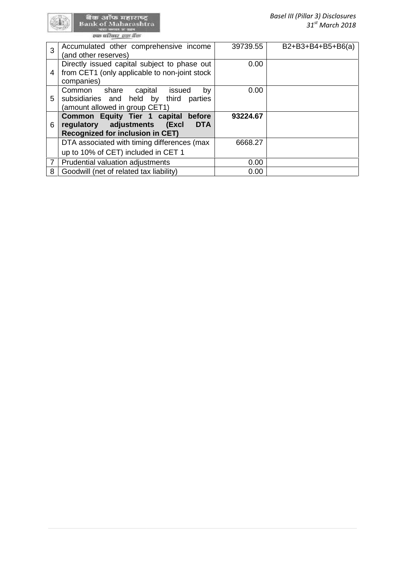र्वेक अॉफ महाराष्ट्र<br>Bank of Maharashtra<br>का प्रदेश स्वादेश

| 3              | Accumulated other comprehensive income<br>(and other reserves)                                                               | 39739.55 | $B2+B3+B4+B5+B6(a)$ |
|----------------|------------------------------------------------------------------------------------------------------------------------------|----------|---------------------|
| 4              | Directly issued capital subject to phase out<br>from CET1 (only applicable to non-joint stock<br>companies)                  | 0.00     |                     |
| 5              | Common<br>share capital<br>issued<br>bv<br>subsidiaries and held by third parties<br>(amount allowed in group CET1)          | 0.00     |                     |
| 6              | Common Equity Tier 1 capital before<br>regulatory adjustments (Excl<br><b>DTA</b><br><b>Recognized for inclusion in CET)</b> | 93224.67 |                     |
|                | DTA associated with timing differences (max<br>up to 10% of CET) included in CET 1                                           | 6668.27  |                     |
| $\overline{7}$ | Prudential valuation adjustments                                                                                             | 0.00     |                     |
| 8              | Goodwill (net of related tax liability)                                                                                      | 0.00     |                     |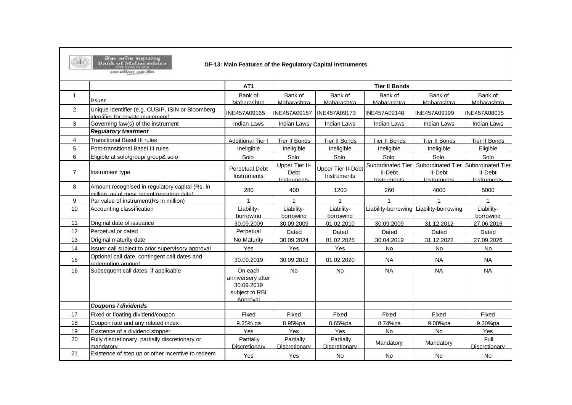

बैंक ऑफ महाराष्ट्र<br>Bank of Maharashtra<br>बाह्य कार्यालय

#### **DF-13: Main Features of the Regulatory Capital Instruments**

| <b>END WITHEY THE BUS</b> |  |
|---------------------------|--|
|                           |  |

|                |                                                                                               | AT <sub>1</sub>                                                          | <b>Tier II Bonds</b>                  |                                          |                                             |                                             |                                             |
|----------------|-----------------------------------------------------------------------------------------------|--------------------------------------------------------------------------|---------------------------------------|------------------------------------------|---------------------------------------------|---------------------------------------------|---------------------------------------------|
| $\mathbf{1}$   | Issuer                                                                                        | Bank of<br>Maharashtra                                                   | Bank of<br>Maharashtra                | Bank of<br>Maharashtra                   | Bank of<br>Maharashtra                      | Bank of<br>Maharashtra                      | Bank of<br>Maharashtra                      |
| $\overline{2}$ | Unique identifier (e.g. CUSIP, ISIN or Bloomberg<br>identifier for private placement)         | INE457A09165                                                             | INE457A09157                          | INE457A09173                             | INE457A09140                                | <b>INE457A09199</b>                         | INE457A08035                                |
| 3              | Governing law(s) of the instrument                                                            | <b>Indian Laws</b>                                                       | <b>Indian Laws</b>                    | <b>Indian Laws</b>                       | <b>Indian Laws</b>                          | <b>Indian Laws</b>                          | <b>Indian Laws</b>                          |
|                | <b>Regulatory treatment</b>                                                                   |                                                                          |                                       |                                          |                                             |                                             |                                             |
| 4              | <b>Transitional Basel III rules</b>                                                           | <b>Additional Tier I</b>                                                 | Tier II Bonds                         | Tier II Bonds                            | Tier II Bonds                               | Tier II Bonds                               | Tier II Bonds                               |
| 5              | Post-transitional Basel III rules                                                             | Ineligible                                                               | Ineligible                            | Ineligible                               | Ineligible                                  | Ineligible                                  | Eligible                                    |
| 6              | Eligible at solo/group/ group& solo                                                           | Solo                                                                     | Solo                                  | Solo                                     | Solo                                        | Solo                                        | Solo                                        |
| $\overline{7}$ | Instrument type                                                                               | <b>Perpetual Debt</b><br>Instruments                                     | Upper Tier II-<br>Debt<br>Instruments | <b>Upper Tier II-Debt</b><br>Instruments | Subordinated Tier<br>II-Debt<br>Instruments | Subordinated Tier<br>II-Debt<br>Instruments | Subordinated Tier<br>II-Debt<br>Instruments |
| 8              | Amount recognised in regulatory capital (Rs. in<br>million, as of most recent reporting date) | 280                                                                      | 400                                   | 1200                                     | 260                                         | 4000                                        | 5000                                        |
| 9              | Par value of instrument(Rs in million)                                                        | $\mathbf{1}$                                                             | $\overline{1}$                        |                                          |                                             |                                             | $\overline{1}$                              |
| 10             | Accounting classification                                                                     | Liability-<br>borrowing                                                  | Liability-<br>borrowing               | Liability-<br>borrowing                  | Liability-borrowing                         | Liability-borrowing                         | Liability-<br>borrowing                     |
| 11             | Original date of issuance                                                                     | 30.09.2009                                                               | 30.09.2009                            | 01.02.2010                               | 30.09.2009                                  | 31.12.2012                                  | 27.06.2016                                  |
| 12             | Perpetual or dated                                                                            | Perpetual                                                                | Dated                                 | Dated                                    | Dated                                       | Dated                                       | Dated                                       |
| 13             | Original maturity date                                                                        | No Maturity                                                              | 30.09.2024                            | 01.02.2025                               | 30.04.2019                                  | 31.12.2022                                  | 27.09.2026                                  |
| 14             | Issuer call subject to prior supervisory approval                                             | Yes                                                                      | Yes                                   | Yes                                      | <b>No</b>                                   | <b>No</b>                                   | <b>No</b>                                   |
| 15             | Optional call date, contingent call dates and<br>redemption amount                            | 30.09.2019                                                               | 30.09.2019                            | 01.02.2020                               | <b>NA</b>                                   | <b>NA</b>                                   | <b>NA</b>                                   |
| 16             | Subsequent call dates, if applicable                                                          | On each<br>anniversery after<br>30.09.2019<br>subject to RBI<br>Approval | <b>No</b>                             | <b>No</b>                                | <b>NA</b>                                   | <b>NA</b>                                   | <b>NA</b>                                   |
|                | Coupons / dividends                                                                           |                                                                          |                                       |                                          |                                             |                                             |                                             |
| 17             | Fixed or floating dividend/coupon                                                             | Fixed                                                                    | Fixed                                 | Fixed                                    | Fixed                                       | Fixed                                       | Fixed                                       |
| 18             | Coupon rate and any related index                                                             | 9.25% pa                                                                 | 8.95%pa                               | 8.65%pa                                  | 8.74%pa                                     | 9.00%pa                                     | 9.20%pa                                     |
| 19             | Existence of a dividend stopper                                                               | Yes                                                                      | Yes                                   | Yes                                      | <b>No</b>                                   | <b>No</b>                                   | Yes                                         |
| 20             | Fully discretionary, partially discretionary or<br>mandatory                                  | Partially<br>Discretionary                                               | Partially<br>Discretionary            | Partially<br>Discretionary               | Mandatory                                   | Mandatory                                   | Full<br>Discretionary                       |
| 21             | Existence of step up or other incentive to redeem                                             | Yes                                                                      | Yes                                   | <b>No</b>                                | No                                          | No                                          | No                                          |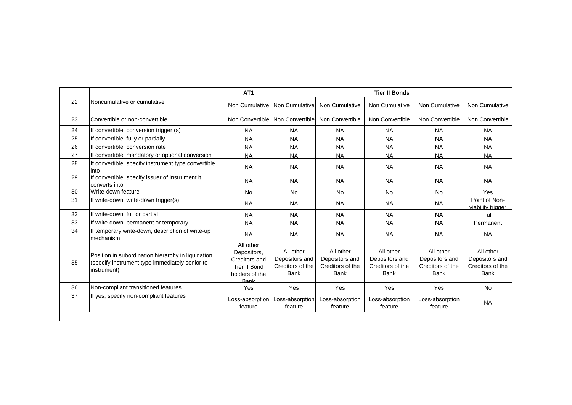|    |                                                                                                                     | AT <sub>1</sub>                                                                     |                                                                |                                                                | <b>Tier II Bonds</b>                                           |                                                                |                                                                |
|----|---------------------------------------------------------------------------------------------------------------------|-------------------------------------------------------------------------------------|----------------------------------------------------------------|----------------------------------------------------------------|----------------------------------------------------------------|----------------------------------------------------------------|----------------------------------------------------------------|
| 22 | Noncumulative or cumulative                                                                                         | Non Cumulative Non Cumulative                                                       |                                                                | Non Cumulative                                                 | Non Cumulative                                                 | Non Cumulative                                                 | Non Cumulative                                                 |
| 23 | Convertible or non-convertible                                                                                      | Non Convertible Non Convertible                                                     |                                                                | Non Convertible                                                | Non Convertible                                                | Non Convertible                                                | Non Convertible                                                |
| 24 | If convertible, conversion trigger (s)                                                                              | <b>NA</b>                                                                           | <b>NA</b>                                                      | <b>NA</b>                                                      | <b>NA</b>                                                      | <b>NA</b>                                                      | <b>NA</b>                                                      |
| 25 | If convertible, fully or partially                                                                                  | <b>NA</b>                                                                           | <b>NA</b>                                                      | <b>NA</b>                                                      | <b>NA</b>                                                      | <b>NA</b>                                                      | <b>NA</b>                                                      |
| 26 | If convertible, conversion rate                                                                                     | <b>NA</b>                                                                           | <b>NA</b>                                                      | <b>NA</b>                                                      | <b>NA</b>                                                      | <b>NA</b>                                                      | <b>NA</b>                                                      |
| 27 | If convertible, mandatory or optional conversion                                                                    | <b>NA</b>                                                                           | <b>NA</b>                                                      | <b>NA</b>                                                      | <b>NA</b>                                                      | <b>NA</b>                                                      | <b>NA</b>                                                      |
| 28 | If convertible, specify instrument type convertible<br>into.                                                        | <b>NA</b>                                                                           | <b>NA</b>                                                      | <b>NA</b>                                                      | <b>NA</b>                                                      | <b>NA</b>                                                      | <b>NA</b>                                                      |
| 29 | If convertible, specify issuer of instrument it<br>converts into                                                    | <b>NA</b>                                                                           | <b>NA</b>                                                      | <b>NA</b>                                                      | <b>NA</b>                                                      | <b>NA</b>                                                      | <b>NA</b>                                                      |
| 30 | Write-down feature                                                                                                  | <b>No</b>                                                                           | <b>No</b>                                                      | <b>No</b>                                                      | <b>No</b>                                                      | <b>No</b>                                                      | Yes                                                            |
| 31 | If write-down, write-down trigger(s)                                                                                | <b>NA</b>                                                                           | <b>NA</b>                                                      | <b>NA</b>                                                      | <b>NA</b>                                                      | <b>NA</b>                                                      | Point of Non-<br>viability trigger                             |
| 32 | If write-down, full or partial                                                                                      | <b>NA</b>                                                                           | <b>NA</b>                                                      | <b>NA</b>                                                      | <b>NA</b>                                                      | <b>NA</b>                                                      | Full                                                           |
| 33 | If write-down, permanent or temporary                                                                               | <b>NA</b>                                                                           | <b>NA</b>                                                      | <b>NA</b>                                                      | <b>NA</b>                                                      | <b>NA</b>                                                      | Permanent                                                      |
| 34 | If temporary write-down, description of write-up<br>mechanism                                                       | <b>NA</b>                                                                           | <b>NA</b>                                                      | <b>NA</b>                                                      | <b>NA</b>                                                      | <b>NA</b>                                                      | <b>NA</b>                                                      |
| 35 | Position in subordination hierarchy in liquidation<br>(specify instrument type immediately senior to<br>instrument) | All other<br>Depositors,<br>Creditors and<br>Tier II Bond<br>holders of the<br>Rank | All other<br>Depositors and<br>Creditors of the<br><b>Bank</b> | All other<br>Depositors and<br>Creditors of the<br><b>Bank</b> | All other<br>Depositors and<br>Creditors of the<br><b>Bank</b> | All other<br>Depositors and<br>Creditors of the<br><b>Bank</b> | All other<br>Depositors and<br>Creditors of the<br><b>Bank</b> |
| 36 | Non-compliant transitioned features                                                                                 | Yes                                                                                 | Yes                                                            | Yes                                                            | Yes                                                            | Yes                                                            | <b>No</b>                                                      |
| 37 | If yes, specify non-compliant features                                                                              | Loss-absorption   Loss-absorption<br>feature                                        | feature                                                        | Loss-absorption<br>feature                                     | Loss-absorption<br>feature                                     | Loss-absorption<br>feature                                     | <b>NA</b>                                                      |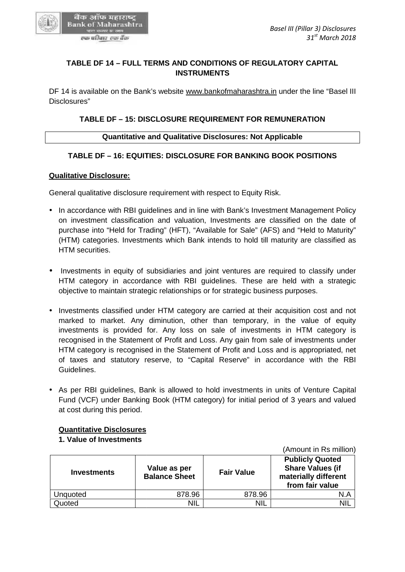

# **TABLE DF 14 – FULL TERMS AND CONDITIONS OF REGULATORY CAPITAL INSTRUMENTS**

DF 14 is available on the Bank's website www.bankofmaharashtra.in under the line "Basel III Disclosures" TABLE DF 14 – FULL TERMS AND CONDITIONS OF REGULATORY CAPITAL<br>INSTRUMENTS<br>4 is available on the Bank's website <u>www.bankofmaharashtra.in</u> under the line "Ba<br>psures"<br>TABLE DF – 15: DISCLOSURE REQUIREMENT FOR REMUNERATION<br>Qu

# **TABLE DF – 15: DISCLOSURE REQUIREMENT FOR REMUNERATION**

## **Quantitative and Qualitative Disclosures: Not Applicable**

## **TABLE DF – 16: EQUITIES: DISCLOSURE FOR BANKING BOOK POSITIONS**

#### **Qualitative Disclosure:**

General qualitative disclosure requirement with respect to Equity Risk.

- In accordance with RBI guidelines and in line with Bank's Investment Management Policy on investment classification and valuation, Investments are classified on the date of purchase into "Held for Trading" (HFT), "Available for Sale" (AFS) and "Held to Maturity" (HTM) categories. Investments which Bank intends to hold till maturity are classified as HTM securities. In accordance with RBI guidelines and in line with Bank's Investment Management Policy<br>on investment classification and valuation, Investments are classified on the date of<br>purchase into "Held for Trading" (HFT), "Availabl
- Investments in equity of subsidiaries and joint ventures are required to classify under HTM category in accordance with RBI guidelines. These are held with a strategic objective to maintain strategic relationships or for strategic business purposes.
- Investments classified under HTM category are carried at their acquisition cost and not • Investments classified under HTM category are carried at their acquisition cost and not<br>marked to market. Any diminution, other than temporary, in the value of equity investments is provided for. Any loss on sale of investments in HTM category is recognised in the Statement of Profit and Loss. Any gain from sale of investments under HTM category is recognised in the Statement of Profit and Loss and is appropriated, net of taxes and statutory reserve, to "Capital Reserve" in accordance with the RBI Guidelines. investments is provided for. Any loss on sale of investments in HTM category is<br>recognised in the Statement of Profit and Loss. Any gain from sale of investments under<br>HTM category is recognised in the Statement of Profit m strategic relationships or for strategic business<br>
ied under HTM category are carried at their acc<br>
... Any diminution, other than temporary, in<br>
wided for. Any loss on sale of investments<br>
tatement of Profit and Loss. A
- As per RBI guidelines, Bank is allowed to hold investments in units of Venture Capital Fund (VCF) under Banking Book (HTM category) for initial period of 3 years and valued at cost during this period. • As per RBI guidelines, Bank is allowed to hold investments in units of Fund (VCF) under Banking Book (HTM category) for initial period of 3 y at cost during this period.

## **Quantitative Disclosures**

## **1. Value of Investments**

**Investments Value as per Balance Sheet Fair Value Publicly Quoted Share Values (if materially different from fair value** Unquoted  $878.96$  878.96 878.96 N.A Quoted NIL NIL NIL NIL NIL NIL NIL **Value Fair Valuefrom fair** 

(Amount in Rs million)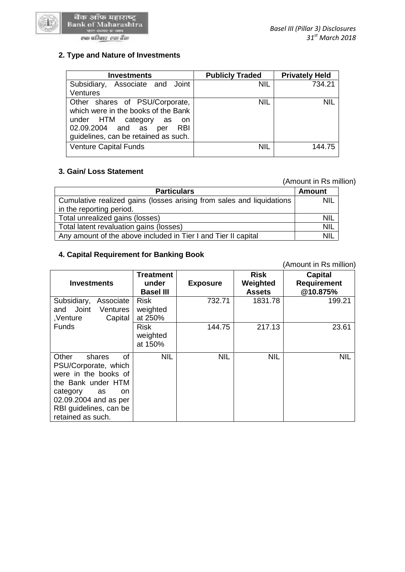

#### एक परिवार-एक बैंक

| <b>Investments</b>                                                                                                                                                                          | <b>Publicly Traded</b> | <b>Privately Held</b> |
|---------------------------------------------------------------------------------------------------------------------------------------------------------------------------------------------|------------------------|-----------------------|
| Associate and Joint<br>Subsidiary,<br><b>Ventures</b>                                                                                                                                       | <b>NIL</b>             | 734.21                |
| Other shares of PSU/Corporate,<br>which were in the books of the Bank<br>under HTM category<br>as<br>- on<br>02.09.2004 and as<br><b>RBI</b><br>per<br>guidelines, can be retained as such. | <b>NIL</b>             | <b>NIL</b>            |
| <b>Venture Capital Funds</b>                                                                                                                                                                | <b>NIL</b>             | 144.75                |

# **3. Gain/ Loss Statement 3.**

(Amount in Rs million)

|                                                                       | (Amount in Rs million) |  |
|-----------------------------------------------------------------------|------------------------|--|
| <b>Particulars</b>                                                    | <b>Amount</b>          |  |
| Cumulative realized gains (losses arising from sales and liquidations | <b>NIL</b>             |  |
| in the reporting period.                                              |                        |  |
| Total unrealized gains (losses)                                       | <b>NIL</b>             |  |
| Total latent revaluation gains (losses)                               | <b>NIL</b>             |  |
| Any amount of the above included in Tier I and Tier II capital        | <b>NIL</b>             |  |

#### **4. Capital Requirement for Banking Book 4. Capital Requirement**

| Cumulative realized gains (losses arising from sales and liquidations | NIL              |                 |               |                        |
|-----------------------------------------------------------------------|------------------|-----------------|---------------|------------------------|
| in the reporting period.                                              |                  |                 |               |                        |
| Total unrealized gains (losses)                                       | <b>NIL</b>       |                 |               |                        |
| Total latent revaluation gains (losses)                               | <b>NIL</b>       |                 |               |                        |
| Any amount of the above included in Tier I and Tier II capital        | <b>NIL</b>       |                 |               |                        |
|                                                                       |                  |                 |               |                        |
| 4. Capital Requirement for Banking Book                               |                  |                 |               |                        |
|                                                                       |                  |                 |               | (Amount in Rs million) |
|                                                                       | Treatment        |                 | <b>Risk</b>   | <b>Capital</b>         |
| <b>Investments</b>                                                    | under            | <b>Exposure</b> | Weighted      | <b>Requirement</b>     |
|                                                                       | <b>Basel III</b> |                 | <b>Assets</b> | @10.875%               |
| Subsidiary,<br>Associate                                              | <b>Risk</b>      | 732.71          | 1831.78       | 199.21                 |
| Joint<br>and<br>Ventures                                              | weighted         |                 |               |                        |
| Capital<br>,Venture                                                   | at 250%          |                 |               |                        |
| <b>Funds</b>                                                          | <b>Risk</b>      | 144.75          | 217.13        | 23.61                  |
|                                                                       | weighted         |                 |               |                        |
|                                                                       | at 150%          |                 |               |                        |
| of<br>Other<br>shares                                                 | <b>NIL</b>       | <b>NIL</b>      | <b>NIL</b>    | <b>NIL</b>             |
| PSU/Corporate, which                                                  |                  |                 |               |                        |
| were in the books of                                                  |                  |                 |               |                        |
| the Bank under HTM                                                    |                  |                 |               |                        |
| category<br>as<br>on                                                  |                  |                 |               |                        |
| 02.09.2004 and as per                                                 |                  |                 |               |                        |
| RBI guidelines, can be                                                |                  |                 |               |                        |
| retained as such.                                                     |                  |                 |               |                        |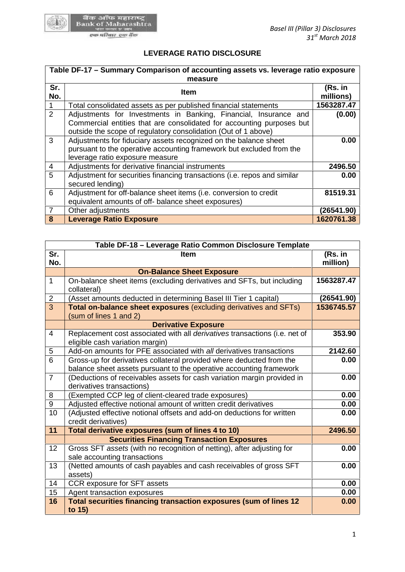

# **LEVERAGE RATIO DISCLOSURE**

| Table DF-17 - Summary Comparison of accounting assets vs. leverage ratio exposure<br>measure |                                                                                                                                                                                                             |                      |  |  |  |
|----------------------------------------------------------------------------------------------|-------------------------------------------------------------------------------------------------------------------------------------------------------------------------------------------------------------|----------------------|--|--|--|
| Sr.<br>No.                                                                                   | Item                                                                                                                                                                                                        | (Rs. in<br>millions) |  |  |  |
|                                                                                              | Total consolidated assets as per published financial statements                                                                                                                                             | 1563287.47           |  |  |  |
| $\overline{2}$                                                                               | Adjustments for Investments in Banking, Financial, Insurance and<br>Commercial entities that are consolidated for accounting purposes but<br>outside the scope of regulatory consolidation (Out of 1 above) | (0.00)               |  |  |  |
| 3                                                                                            | Adjustments for fiduciary assets recognized on the balance sheet<br>pursuant to the operative accounting framework but excluded from the<br>leverage ratio exposure measure                                 | 0.00                 |  |  |  |
| 4                                                                                            | Adjustments for derivative financial instruments                                                                                                                                                            | 2496.50              |  |  |  |
| 5                                                                                            | Adjustment for securities financing transactions (i.e. repos and similar<br>secured lending)                                                                                                                | 0.00                 |  |  |  |
| 6                                                                                            | Adjustment for off-balance sheet items (i.e. conversion to credit<br>equivalent amounts of off- balance sheet exposures)                                                                                    | 81519.31             |  |  |  |
| $\overline{7}$                                                                               | Other adjustments                                                                                                                                                                                           | (26541.90)           |  |  |  |
| 8                                                                                            | <b>Leverage Ratio Exposure</b>                                                                                                                                                                              | 1620761.38           |  |  |  |

| 6              | Adjustment for off-balance sheet items (i.e. conversion to credit                                                                           | 81519.31            |
|----------------|---------------------------------------------------------------------------------------------------------------------------------------------|---------------------|
|                | equivalent amounts of off- balance sheet exposures)                                                                                         |                     |
| $\overline{7}$ | Other adjustments                                                                                                                           | (26541.90)          |
| 8              | Leverage Ratio Exposure                                                                                                                     | 1620761.38          |
|                |                                                                                                                                             |                     |
|                | Table DF-18 - Leverage Ratio Common Disclosure Template                                                                                     |                     |
| Sr.<br>No.     | <b>Item</b>                                                                                                                                 | (Rs. in<br>million) |
|                | <b>On-Balance Sheet Exposure</b>                                                                                                            |                     |
| $\mathbf{1}$   | On-balance sheet items (excluding derivatives and SFTs, but including<br>collateral)                                                        | 1563287.47          |
| $\overline{2}$ | (Asset amounts deducted in determining Basel III Tier 1 capital)                                                                            | (26541.90)          |
| $\overline{3}$ | Total on-balance sheet exposures (excluding derivatives and SFTs)<br>(sum of lines 1 and 2)                                                 | 1536745.57          |
|                | <b>Derivative Exposure</b>                                                                                                                  |                     |
| 4              | Replacement cost associated with all derivatives transactions (i.e. net of<br>eligible cash variation margin)                               | 353.90              |
| 5              | Add-on amounts for PFE associated with all derivatives transactions                                                                         | 2142.60             |
| 6              | Gross-up for derivatives collateral provided where deducted from the<br>balance sheet assets pursuant to the operative accounting framework | 0.00                |
| $\overline{7}$ | (Deductions of receivables assets for cash variation margin provided in<br>derivatives transactions)                                        | 0.00                |
| 8              | (Exempted CCP leg of client-cleared trade exposures)                                                                                        | 0.00                |
| 9              | Adjusted effective notional amount of written credit derivatives                                                                            | 0.00                |
| 10             | (Adjusted effective notional offsets and add-on deductions for written<br>credit derivatives)                                               | 0.00                |
| 11             | Total derivative exposures (sum of lines 4 to 10)                                                                                           | 2496.50             |
|                | <b>Securities Financing Transaction Exposures</b>                                                                                           |                     |
| 12             | Gross SFT assets (with no recognition of netting), after adjusting for<br>sale accounting transactions                                      | 0.00                |
| 13             | (Netted amounts of cash payables and cash receivables of gross SFT<br>assets)                                                               | 0.00                |
| 14             | CCR exposure for SFT assets                                                                                                                 | 0.00                |
| 15             | Agent transaction exposures                                                                                                                 | 0.00                |
| 16             | Total securities financing transaction exposures (sum of lines 12<br>to 15)                                                                 | 0.00                |